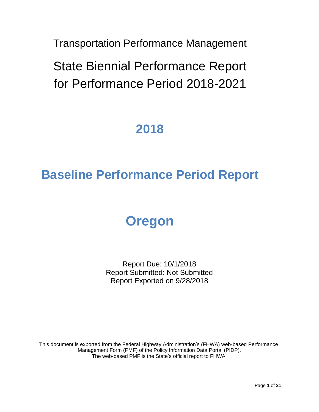Transportation Performance Management

State Biennial Performance Report for Performance Period 2018-2021

# **2018**

# **Baseline Performance Period Report**

# **Oregon**

Report Due: 10/1/2018 Report Submitted: Not Submitted Report Exported on 9/28/2018

This document is exported from the Federal Highway Administration's (FHWA) web-based Performance Management Form (PMF) of the Policy Information Data Portal (PIDP). The web-based PMF is the State's official report to FHWA.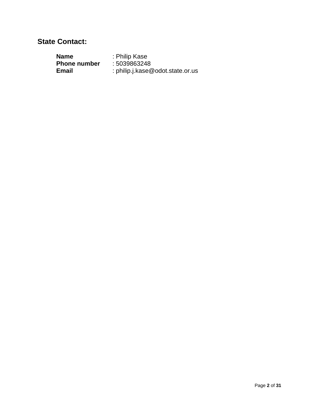#### **State Contact:**

| Name                | : Philip Kase                    |
|---------------------|----------------------------------|
| <b>Phone number</b> | : 5039863248                     |
| Email               | : philip.j.kase@odot.state.or.us |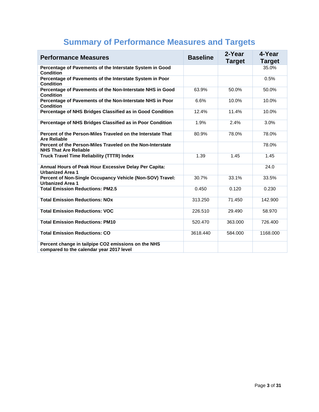| <b>Performance Measures</b>                                                                     | <b>Baseline</b> | 2-Year<br><b>Target</b> | 4-Year<br><b>Target</b> |
|-------------------------------------------------------------------------------------------------|-----------------|-------------------------|-------------------------|
| Percentage of Pavements of the Interstate System in Good<br><b>Condition</b>                    |                 |                         | 35.0%                   |
| Percentage of Pavements of the Interstate System in Poor<br><b>Condition</b>                    |                 |                         | 0.5%                    |
| Percentage of Pavements of the Non-Interstate NHS in Good<br><b>Condition</b>                   | 63.9%           | 50.0%                   | 50.0%                   |
| Percentage of Pavements of the Non-Interstate NHS in Poor<br><b>Condition</b>                   | 6.6%            | 10.0%                   | 10.0%                   |
| Percentage of NHS Bridges Classified as in Good Condition                                       | 12.4%           | 11.4%                   | 10.0%                   |
| Percentage of NHS Bridges Classified as in Poor Condition                                       | 1.9%            | 2.4%                    | 3.0%                    |
| Percent of the Person-Miles Traveled on the Interstate That<br><b>Are Reliable</b>              | 80.9%           | 78.0%                   | 78.0%                   |
| Percent of the Person-Miles Traveled on the Non-Interstate<br><b>NHS That Are Reliable</b>      |                 |                         | 78.0%                   |
| <b>Truck Travel Time Reliability (TTTR) Index</b>                                               | 1.39            | 1.45                    | 1.45                    |
| Annual Hours of Peak Hour Excessive Delay Per Capita:<br><b>Urbanized Area 1</b>                |                 |                         | 24.0                    |
| Percent of Non-Single Occupancy Vehicle (Non-SOV) Travel:<br><b>Urbanized Area 1</b>            | 30.7%           | 33.1%                   | 33.5%                   |
| <b>Total Emission Reductions: PM2.5</b>                                                         | 0.450           | 0.120                   | 0.230                   |
| <b>Total Emission Reductions: NOx</b>                                                           | 313.250         | 71.450                  | 142.900                 |
| <b>Total Emission Reductions: VOC</b>                                                           | 226.510         | 29.490                  | 58.970                  |
| <b>Total Emission Reductions: PM10</b>                                                          | 520.470         | 363.000                 | 726.400                 |
| <b>Total Emission Reductions: CO</b>                                                            | 3618.440        | 584.000                 | 1168.000                |
| Percent change in tailpipe CO2 emissions on the NHS<br>compared to the calendar year 2017 level |                 |                         |                         |

## **Summary of Performance Measures and Targets**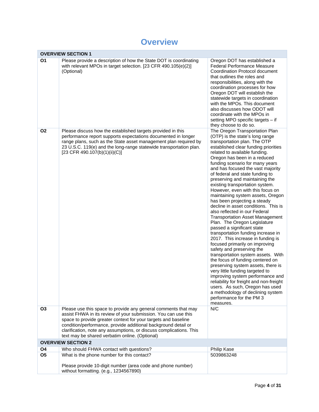#### **Overview**

|                | <b>OVERVIEW SECTION 1</b>                                                                                                                                                                                                                                                                                                                                                                     |                                                                                                                                                                                                                                                                                                                                                                                                                                                                                                                                                                                                                                                                                                                                                                                                                                                                                                                                                                                                                                                                                                                                                                                   |
|----------------|-----------------------------------------------------------------------------------------------------------------------------------------------------------------------------------------------------------------------------------------------------------------------------------------------------------------------------------------------------------------------------------------------|-----------------------------------------------------------------------------------------------------------------------------------------------------------------------------------------------------------------------------------------------------------------------------------------------------------------------------------------------------------------------------------------------------------------------------------------------------------------------------------------------------------------------------------------------------------------------------------------------------------------------------------------------------------------------------------------------------------------------------------------------------------------------------------------------------------------------------------------------------------------------------------------------------------------------------------------------------------------------------------------------------------------------------------------------------------------------------------------------------------------------------------------------------------------------------------|
| <b>O1</b>      | Please provide a description of how the State DOT is coordinating<br>with relevant MPOs in target selection. [23 CFR 490.105(e)(2)]<br>(Optional)                                                                                                                                                                                                                                             | Oregon DOT has established a<br>Federal Performance Measure<br>Coordination Protocol document<br>that outlines the roles and<br>responsibilities, along with the<br>coordination processes for how<br>Oregon DOT will establish the<br>statewide targets in coordination<br>with the MPOs. This document<br>also discusses how ODOT will<br>coordinate with the MPOs in<br>setting MPO specific targets - if<br>they choose to do so.                                                                                                                                                                                                                                                                                                                                                                                                                                                                                                                                                                                                                                                                                                                                             |
| <b>O2</b>      | Please discuss how the established targets provided in this<br>performance report supports expectations documented in longer<br>range plans, such as the State asset management plan required by<br>23 U.S.C. 119(e) and the long-range statewide transportation plan.<br>[23 CFR 490.107(b)(1)(ii)(C)]                                                                                       | The Oregon Transportation Plan<br>(OTP) is the state's long range<br>transportation plan. The OTP<br>established clear funding priorities<br>related to available funding.<br>Oregon has been in a reduced<br>funding scenario for many years<br>and has focused the vast majority<br>of federal and state funding to<br>preserving and maintaining the<br>existing transportation system.<br>However, even with this focus on<br>maintaining system assets, Oregon<br>has been projecting a steady<br>decline in asset conditions. This is<br>also reflected in our Federal<br><b>Transportation Asset Management</b><br>Plan. The Oregon Legislature<br>passed a significant state<br>transportation funding increase in<br>2017. This increase in funding is<br>focused primarily on improving<br>safety and preserving the<br>transportation system assets. With<br>the focus of funding centered on<br>preserving system assets, there is<br>very little funding targeted to<br>improving system performance and<br>reliability for freight and non-freight<br>users. As such, Oregon has used<br>a methodology of declining system<br>performance for the PM 3<br>measures. |
| <b>O3</b>      | Please use this space to provide any general comments that may<br>assist FHWA in its review of your submission. You can use this<br>space to provide greater context for your targets and baseline<br>condition/performance, provide additional background detail or<br>clarification, note any assumptions, or discuss complications. This<br>text may be shared verbatim online. (Optional) | N/C                                                                                                                                                                                                                                                                                                                                                                                                                                                                                                                                                                                                                                                                                                                                                                                                                                                                                                                                                                                                                                                                                                                                                                               |
|                | <b>OVERVIEW SECTION 2</b>                                                                                                                                                                                                                                                                                                                                                                     |                                                                                                                                                                                                                                                                                                                                                                                                                                                                                                                                                                                                                                                                                                                                                                                                                                                                                                                                                                                                                                                                                                                                                                                   |
| O <sub>4</sub> | Who should FHWA contact with questions?                                                                                                                                                                                                                                                                                                                                                       | Philip Kase                                                                                                                                                                                                                                                                                                                                                                                                                                                                                                                                                                                                                                                                                                                                                                                                                                                                                                                                                                                                                                                                                                                                                                       |
| O <sub>5</sub> | What is the phone number for this contact?<br>Please provide 10-digit number (area code and phone number)<br>without formatting. (e.g., 1234567890)                                                                                                                                                                                                                                           | 5039863248                                                                                                                                                                                                                                                                                                                                                                                                                                                                                                                                                                                                                                                                                                                                                                                                                                                                                                                                                                                                                                                                                                                                                                        |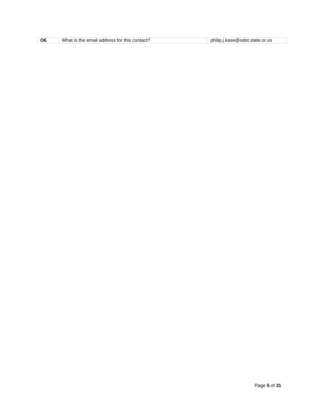| O <sub>6</sub> | What is the email address for this contact? | philip.j.kase@odot.state.or.us |
|----------------|---------------------------------------------|--------------------------------|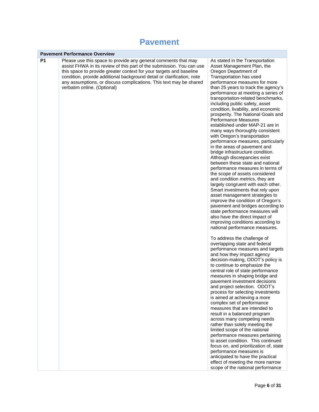#### **Pavement**

|    | <b>Pavement Performance Overview</b>                                                                                                                                                                                                                                                                                                                                                          |                                                                                                                                                                                                                                                                                                                                                                                                                                                                                                                                                                                                                                                                                                                                                                                                                                                                                                                                                                                                                                                                                                                                                                                                                                                                                                                                                                                                                                                                                                                                                                                                                                                                                                                                                                                                                                                                                                                                                                                                                                      |
|----|-----------------------------------------------------------------------------------------------------------------------------------------------------------------------------------------------------------------------------------------------------------------------------------------------------------------------------------------------------------------------------------------------|--------------------------------------------------------------------------------------------------------------------------------------------------------------------------------------------------------------------------------------------------------------------------------------------------------------------------------------------------------------------------------------------------------------------------------------------------------------------------------------------------------------------------------------------------------------------------------------------------------------------------------------------------------------------------------------------------------------------------------------------------------------------------------------------------------------------------------------------------------------------------------------------------------------------------------------------------------------------------------------------------------------------------------------------------------------------------------------------------------------------------------------------------------------------------------------------------------------------------------------------------------------------------------------------------------------------------------------------------------------------------------------------------------------------------------------------------------------------------------------------------------------------------------------------------------------------------------------------------------------------------------------------------------------------------------------------------------------------------------------------------------------------------------------------------------------------------------------------------------------------------------------------------------------------------------------------------------------------------------------------------------------------------------------|
| P1 | Please use this space to provide any general comments that may<br>assist FHWA in its review of this part of the submission. You can use<br>this space to provide greater context for your targets and baseline<br>condition, provide additional background detail or clarification, note<br>any assumptions, or discuss complications. This text may be shared<br>verbatim online. (Optional) | As stated in the Transportation<br>Asset Management Plan, the<br>Oregon Department of<br>Transportation has used<br>performance measures for more<br>than 25 years to track the agency's<br>performance at meeting a series of<br>transportation-related benchmarks,<br>including public safety, asset<br>condition, livability, and economic<br>prosperity. The National Goals and<br><b>Performance Measures</b><br>established under MAP-21 are in<br>many ways thoroughly consistent<br>with Oregon's transportation<br>performance measures, particularly<br>in the areas of pavement and<br>bridge infrastructure condition.<br>Although discrepancies exist<br>between these state and national<br>performance measures in terms of<br>the scope of assets considered<br>and condition metrics, they are<br>largely congruent with each other.<br>Smart investments that rely upon<br>asset management strategies to<br>improve the condition of Oregon's<br>pavement and bridges according to<br>state performance measures will<br>also have the direct impact of<br>improving conditions according to<br>national performance measures.<br>To address the challenge of<br>overlapping state and federal<br>performance measures and targets<br>and how they impact agency<br>decision-making, ODOT's policy is<br>to continue to emphasize the<br>central role of state performance<br>measures in shaping bridge and<br>pavement investment decisions<br>and project selection. ODOT's<br>process for selecting investments<br>is aimed at achieving a more<br>complex set of performance<br>measures that are intended to<br>result in a balanced program<br>across many competing needs<br>rather than solely meeting the<br>limited scope of the national<br>performance measures pertaining<br>to asset condition. This continued<br>focus on, and prioritization of, state<br>performance measures is<br>anticipated to have the practical<br>effect of meeting the more narrow<br>scope of the national performance |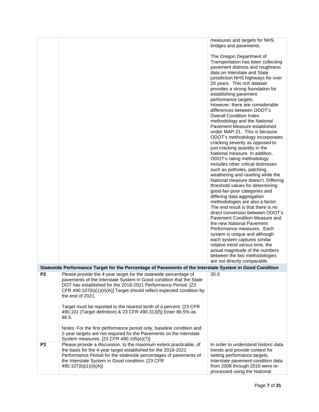measures and targets for NHS bridges and pavements.

|                |                                                                                                                                                                                                                                                                                                                                                                                                                                                         | The Oregon Department of<br>Transportation has been collecting<br>pavement distress and roughness<br>data on Interstate and State<br>jurisdiction NHS highways for over<br>20 years. This rich dataset<br>provides a strong foundation for<br>establishing pavement<br>performance targets.<br>However, there are considerable<br>differences between ODOT's<br><b>Overall Condition Index</b><br>methodology and the National<br>Pavement Measure established<br>under MAP-21. This is because<br>ODOT's methodology incorporates<br>cracking severity as opposed to<br>just cracking quantity in the<br>National measure. In addition,<br>ODOT's rating methodology<br>includes other critical distresses<br>such as potholes, patching,<br>weathering and raveling while the<br>National measure doesn't. Differing<br>threshold values for determining<br>good-fair-poor categories and<br>differing data aggregation<br>methodologies are also a factor.<br>The end result is that there is no<br>direct conversion between ODOT's<br>Pavement Condition Measure and<br>the new National Pavement<br>Performance measures. Each<br>system is unique and although<br>each system captures similar<br>relative trend versus time, the<br>actual magnitude of the numbers<br>between the two methodologies<br>are not directly comparable. |
|----------------|---------------------------------------------------------------------------------------------------------------------------------------------------------------------------------------------------------------------------------------------------------------------------------------------------------------------------------------------------------------------------------------------------------------------------------------------------------|----------------------------------------------------------------------------------------------------------------------------------------------------------------------------------------------------------------------------------------------------------------------------------------------------------------------------------------------------------------------------------------------------------------------------------------------------------------------------------------------------------------------------------------------------------------------------------------------------------------------------------------------------------------------------------------------------------------------------------------------------------------------------------------------------------------------------------------------------------------------------------------------------------------------------------------------------------------------------------------------------------------------------------------------------------------------------------------------------------------------------------------------------------------------------------------------------------------------------------------------------------------------------------------------------------------------------------------------|
|                | Statewide Performance Target for the Percentage of Pavements of the Interstate System in Good Condition                                                                                                                                                                                                                                                                                                                                                 |                                                                                                                                                                                                                                                                                                                                                                                                                                                                                                                                                                                                                                                                                                                                                                                                                                                                                                                                                                                                                                                                                                                                                                                                                                                                                                                                              |
| P <sub>2</sub> | Please provide the 4-year target for the statewide percentage of<br>pavements of the Interstate System in Good condition that the State<br>DOT has established for the 2018-2021 Performance Period. [23<br>CFR 490.107(b)(1)(ii)(A)] Target should reflect expected condition by<br>the end of 2021.<br>Target must be reported to the nearest tenth of a percent. [23 CFR<br>490.101 (Target definition) & 23 CFR 490.313(f)] Enter 86.5% as<br>86.5. | 35.0                                                                                                                                                                                                                                                                                                                                                                                                                                                                                                                                                                                                                                                                                                                                                                                                                                                                                                                                                                                                                                                                                                                                                                                                                                                                                                                                         |
|                | Notes: For the first performance period only, baseline condition and<br>2-year targets are not required for the Pavements on the Interstate<br>System measures. [23 CFR 490.105(e)(7)]                                                                                                                                                                                                                                                                  |                                                                                                                                                                                                                                                                                                                                                                                                                                                                                                                                                                                                                                                                                                                                                                                                                                                                                                                                                                                                                                                                                                                                                                                                                                                                                                                                              |
| P <sub>3</sub> | Please provide a discussion, to the maximum extent practicable, of<br>the basis for the 4-year target established for the 2018-2021<br>Performance Period for the statewide percentages of pavements of<br>the Interstate System in Good condition. [23 CFR<br>490.107(b)(1)(ii)(A)]                                                                                                                                                                    | In order to understand historic data<br>trends and provide context for<br>setting performance targets,<br>Interstate pavement condition data<br>from 2008 through 2016 were re-<br>processed using the National                                                                                                                                                                                                                                                                                                                                                                                                                                                                                                                                                                                                                                                                                                                                                                                                                                                                                                                                                                                                                                                                                                                              |
|                |                                                                                                                                                                                                                                                                                                                                                                                                                                                         |                                                                                                                                                                                                                                                                                                                                                                                                                                                                                                                                                                                                                                                                                                                                                                                                                                                                                                                                                                                                                                                                                                                                                                                                                                                                                                                                              |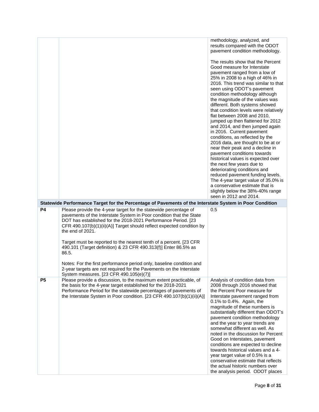|                |                                                                                                                                                                                                                                                                                                                                                                                                                                                                                                                                 | methodology, analyzed, and<br>results compared with the ODOT<br>pavement condition methodology.                                                                                                                                                                                                                                                                                                                                                                                                                                                                                                                                                                                                                                                                                                                                                             |
|----------------|---------------------------------------------------------------------------------------------------------------------------------------------------------------------------------------------------------------------------------------------------------------------------------------------------------------------------------------------------------------------------------------------------------------------------------------------------------------------------------------------------------------------------------|-------------------------------------------------------------------------------------------------------------------------------------------------------------------------------------------------------------------------------------------------------------------------------------------------------------------------------------------------------------------------------------------------------------------------------------------------------------------------------------------------------------------------------------------------------------------------------------------------------------------------------------------------------------------------------------------------------------------------------------------------------------------------------------------------------------------------------------------------------------|
|                |                                                                                                                                                                                                                                                                                                                                                                                                                                                                                                                                 | The results show that the Percent<br>Good measure for Interstate<br>pavement ranged from a low of<br>25% in 2008 to a high of 46% in<br>2016. This trend was similar to that<br>seen using ODOT's pavement<br>condition methodology although<br>the magnitude of the values was<br>different. Both systems showed<br>that condition levels were relatively<br>flat between 2008 and 2010,<br>jumped up then flattened for 2012<br>and 2014, and then jumped again<br>in 2016. Current pavement<br>conditions, as reflected by the<br>2016 data, are thought to be at or<br>near their peak and a decline in<br>pavement conditions towards<br>historical values is expected over<br>the next few years due to<br>deteriorating conditions and<br>reduced pavement funding levels.<br>The 4-year target value of 35.0% is<br>a conservative estimate that is |
|                |                                                                                                                                                                                                                                                                                                                                                                                                                                                                                                                                 | slightly below the 38%-40% range<br>seen in 2012 and 2014.                                                                                                                                                                                                                                                                                                                                                                                                                                                                                                                                                                                                                                                                                                                                                                                                  |
|                | Statewide Performance Target for the Percentage of Pavements of the Interstate System in Poor Condition                                                                                                                                                                                                                                                                                                                                                                                                                         |                                                                                                                                                                                                                                                                                                                                                                                                                                                                                                                                                                                                                                                                                                                                                                                                                                                             |
| <b>P4</b>      | Please provide the 4-year target for the statewide percentage of<br>pavements of the Interstate System in Poor condition that the State<br>DOT has established for the 2018-2021 Performance Period. [23<br>CFR 490.107(b)(1)(ii)(A)] Target should reflect expected condition by<br>the end of 2021.<br>Target must be reported to the nearest tenth of a percent. [23 CFR<br>490.101 (Target definition) & 23 CFR 490.313(f)] Enter 86.5% as<br>86.5.<br>Notes: For the first performance period only, baseline condition and | 0.5                                                                                                                                                                                                                                                                                                                                                                                                                                                                                                                                                                                                                                                                                                                                                                                                                                                         |
|                | 2-year targets are not required for the Pavements on the Interstate                                                                                                                                                                                                                                                                                                                                                                                                                                                             |                                                                                                                                                                                                                                                                                                                                                                                                                                                                                                                                                                                                                                                                                                                                                                                                                                                             |
| P <sub>5</sub> | System measures. [23 CFR 490.105(e)(7)]<br>Please provide a discussion, to the maximum extent practicable, of<br>the basis for the 4-year target established for the 2018-2021<br>Performance Period for the statewide percentages of pavements of<br>the Interstate System in Poor condition. [23 CFR 490.107(b)(1)(ii)(A)]                                                                                                                                                                                                    | Analysis of condition data from<br>2008 through 2016 showed that<br>the Percent Poor measure for<br>Interstate pavement ranged from<br>0.1% to 0.4%. Again, the<br>magnitude of these numbers is<br>substantially different than ODOT's<br>pavement condition methodology<br>and the year to year trends are<br>somewhat different as well. As<br>noted in the discussion for Percent<br>Good on Interstates, pavement<br>conditions are expected to decline<br>towards historical values and a 4-<br>year target value of 0.5% is a<br>conservative estimate that reflects                                                                                                                                                                                                                                                                                 |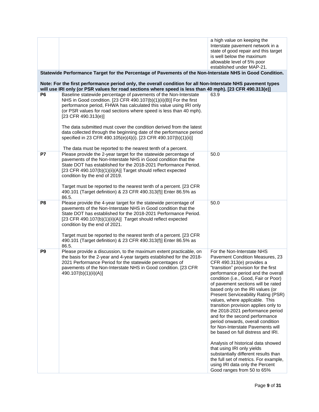|                |                                                                                                                                                                                                                                                                                                                                                                                                                                                  | a high value on keeping the<br>Interstate pavement network in a<br>state of good repair and this target<br>is well below the maximum<br>allowable level of 5% poor<br>established under MAP-21.                                                                                                                                                                                                                                                                                                                                                                                                                                                                                                                                                                                                                         |
|----------------|--------------------------------------------------------------------------------------------------------------------------------------------------------------------------------------------------------------------------------------------------------------------------------------------------------------------------------------------------------------------------------------------------------------------------------------------------|-------------------------------------------------------------------------------------------------------------------------------------------------------------------------------------------------------------------------------------------------------------------------------------------------------------------------------------------------------------------------------------------------------------------------------------------------------------------------------------------------------------------------------------------------------------------------------------------------------------------------------------------------------------------------------------------------------------------------------------------------------------------------------------------------------------------------|
|                | Statewide Performance Target for the Percentage of Pavements of the Non-Interstate NHS in Good Condition.<br>Note: For the first performance period only, the overall condition for all Non-Interstate NHS pavement types                                                                                                                                                                                                                        |                                                                                                                                                                                                                                                                                                                                                                                                                                                                                                                                                                                                                                                                                                                                                                                                                         |
| P <sub>6</sub> | will use IRI only (or PSR values for road sections where speed is less than 40 mph). [23 CFR 490.313(e)]                                                                                                                                                                                                                                                                                                                                         |                                                                                                                                                                                                                                                                                                                                                                                                                                                                                                                                                                                                                                                                                                                                                                                                                         |
|                | Baseline statewide percentage of pavements of the Non-Interstate<br>NHS in Good condition. [23 CFR 490.107(b)(1)(ii)(B)] For the first<br>performance period, FHWA has calculated this value using IRI only<br>(or PSR values for road sections where speed is less than 40 mph).<br>$[23$ CFR 490.313(e)]                                                                                                                                       | 63.9                                                                                                                                                                                                                                                                                                                                                                                                                                                                                                                                                                                                                                                                                                                                                                                                                    |
|                | The data submitted must cover the condition derived from the latest<br>data collected through the beginning date of the performance period<br>specified in 23 CFR 490.105(e)(4)(i). [23 CFR 490.107(b)(1)(ii)]                                                                                                                                                                                                                                   |                                                                                                                                                                                                                                                                                                                                                                                                                                                                                                                                                                                                                                                                                                                                                                                                                         |
| P7             | The data must be reported to the nearest tenth of a percent.<br>Please provide the 2-year target for the statewide percentage of<br>pavements of the Non-Interstate NHS in Good condition that the<br>State DOT has established for the 2018-2021 Performance Period.<br>[23 CFR 490.107(b)(1)(ii)(A)] Target should reflect expected<br>condition by the end of 2019.                                                                           | 50.0                                                                                                                                                                                                                                                                                                                                                                                                                                                                                                                                                                                                                                                                                                                                                                                                                    |
|                | Target must be reported to the nearest tenth of a percent. [23 CFR<br>490.101 (Target definition) & 23 CFR 490.313(f)] Enter 86.5% as<br>86.5.                                                                                                                                                                                                                                                                                                   |                                                                                                                                                                                                                                                                                                                                                                                                                                                                                                                                                                                                                                                                                                                                                                                                                         |
| P <sub>8</sub> | Please provide the 4-year target for the statewide percentage of<br>pavements of the Non-Interstate NHS in Good condition that the<br>State DOT has established for the 2018-2021 Performance Period.<br>[23 CFR 490.107(b)(1)(ii)(A)] Target should reflect expected<br>condition by the end of 2021.<br>Target must be reported to the nearest tenth of a percent. [23 CFR]<br>490.101 (Target definition) & 23 CFR 490.313(f)] Enter 86.5% as | 50.0                                                                                                                                                                                                                                                                                                                                                                                                                                                                                                                                                                                                                                                                                                                                                                                                                    |
| P9             | 86.5.<br>Please provide a discussion, to the maximum extent practicable, on<br>the basis for the 2-year and 4-year targets established for the 2018-<br>2021 Performance Period for the statewide percentages of<br>pavements of the Non-Interstate NHS in Good condition. [23 CFR<br>490.107(b)(1)(ii)(A)]                                                                                                                                      | For the Non-Interstate NHS<br>Pavement Condition Measures, 23<br>CFR 490.313(e) provides a<br>"transition" provision for the first<br>performance period and the overall<br>condition (i.e., Good, Fair or Poor)<br>of pavement sections will be rated<br>based only on the IRI values (or<br>Present Serviceability Rating (PSR)<br>values, where applicable. This<br>transition provision applies only to<br>the 2018-2021 performance period<br>and for the second performance<br>period onwards, overall condition<br>for Non-Interstate Pavements will<br>be based on full distress and IRI.<br>Analysis of historical data showed<br>that using IRI only yields<br>substantially different results than<br>the full set of metrics. For example,<br>using IRI data only the Percent<br>Good ranges from 50 to 65% |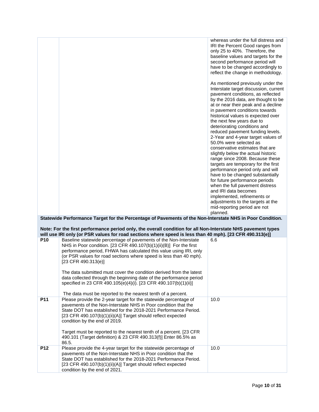|                 |                                                                                                                                                                                                                                                                                                                                                                                      | whereas under the full distress and<br>IRI the Percent Good ranges from<br>only 25 to 40%. Therefore, the<br>baseline values and targets for the<br>second performance period will<br>have to be changed accordingly to<br>reflect the change in methodology.<br>As mentioned previously under the<br>Interstate target discussion, current<br>pavement conditions, as reflected<br>by the 2016 data, are thought to be<br>at or near their peak and a decline<br>in pavement conditions towards<br>historical values is expected over<br>the next few years due to<br>deteriorating conditions and<br>reduced pavement funding levels.<br>2-Year and 4-year target values of<br>50.0% were selected as<br>conservative estimates that are<br>slightly below the actual historic<br>range since 2008. Because these<br>targets are temporary for the first<br>performance period only and will<br>have to be changed substantially<br>for future performance periods<br>when the full pavement distress<br>and IRI data becomes<br>implemented, refinements or<br>adjustments to the targets at the<br>mid-reporting period are not |
|-----------------|--------------------------------------------------------------------------------------------------------------------------------------------------------------------------------------------------------------------------------------------------------------------------------------------------------------------------------------------------------------------------------------|-------------------------------------------------------------------------------------------------------------------------------------------------------------------------------------------------------------------------------------------------------------------------------------------------------------------------------------------------------------------------------------------------------------------------------------------------------------------------------------------------------------------------------------------------------------------------------------------------------------------------------------------------------------------------------------------------------------------------------------------------------------------------------------------------------------------------------------------------------------------------------------------------------------------------------------------------------------------------------------------------------------------------------------------------------------------------------------------------------------------------------------|
|                 |                                                                                                                                                                                                                                                                                                                                                                                      | planned.                                                                                                                                                                                                                                                                                                                                                                                                                                                                                                                                                                                                                                                                                                                                                                                                                                                                                                                                                                                                                                                                                                                            |
|                 | Statewide Performance Target for the Percentage of Pavements of the Non-Interstate NHS in Poor Condition.                                                                                                                                                                                                                                                                            |                                                                                                                                                                                                                                                                                                                                                                                                                                                                                                                                                                                                                                                                                                                                                                                                                                                                                                                                                                                                                                                                                                                                     |
|                 | Note: For the first performance period only, the overall condition for all Non-Interstate NHS pavement types<br>will use IRI only (or PSR values for road sections where speed is less than 40 mph). [23 CFR 490.313(e)]                                                                                                                                                             |                                                                                                                                                                                                                                                                                                                                                                                                                                                                                                                                                                                                                                                                                                                                                                                                                                                                                                                                                                                                                                                                                                                                     |
| P <sub>10</sub> | Baseline statewide percentage of pavements of the Non-Interstate                                                                                                                                                                                                                                                                                                                     | 6.6                                                                                                                                                                                                                                                                                                                                                                                                                                                                                                                                                                                                                                                                                                                                                                                                                                                                                                                                                                                                                                                                                                                                 |
|                 | NHS in Poor condition. [23 CFR 490.107(b)(1)(ii)(B)] For the first<br>performance period, FHWA has calculated this value using IRI, only<br>(or PSR values for road sections where speed is less than 40 mph).<br>$[23$ CFR 490.313(e)]                                                                                                                                              |                                                                                                                                                                                                                                                                                                                                                                                                                                                                                                                                                                                                                                                                                                                                                                                                                                                                                                                                                                                                                                                                                                                                     |
|                 | The data submitted must cover the condition derived from the latest<br>data collected through the beginning date of the performance period<br>specified in 23 CFR 490.105(e)(4)(i). [23 CFR 490.107(b)(1)(ii)]                                                                                                                                                                       |                                                                                                                                                                                                                                                                                                                                                                                                                                                                                                                                                                                                                                                                                                                                                                                                                                                                                                                                                                                                                                                                                                                                     |
| P11             | The data must be reported to the nearest tenth of a percent.<br>Please provide the 2-year target for the statewide percentage of                                                                                                                                                                                                                                                     | 10.0                                                                                                                                                                                                                                                                                                                                                                                                                                                                                                                                                                                                                                                                                                                                                                                                                                                                                                                                                                                                                                                                                                                                |
|                 | pavements of the Non-Interstate NHS in Poor condition that the<br>State DOT has established for the 2018-2021 Performance Period.<br>[23 CFR 490.107(b)(1)(ii)(A)] Target should reflect expected<br>condition by the end of 2019.<br>Target must be reported to the nearest tenth of a percent. [23 CFR<br>490.101 (Target definition) & 23 CFR 490.313(f)] Enter 86.5% as<br>86.5. |                                                                                                                                                                                                                                                                                                                                                                                                                                                                                                                                                                                                                                                                                                                                                                                                                                                                                                                                                                                                                                                                                                                                     |
| P12             | Please provide the 4-year target for the statewide percentage of<br>pavements of the Non-Interstate NHS in Poor condition that the<br>State DOT has established for the 2018-2021 Performance Period.<br>[23 CFR 490.107(b)(1)(ii)(A)] Target should reflect expected<br>condition by the end of 2021.                                                                               | 10.0                                                                                                                                                                                                                                                                                                                                                                                                                                                                                                                                                                                                                                                                                                                                                                                                                                                                                                                                                                                                                                                                                                                                |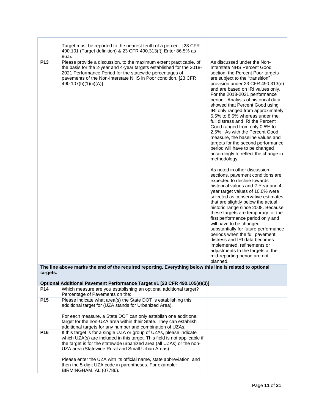|                 | Target must be reported to the nearest tenth of a percent. [23 CFR<br>490.101 (Target definition) & 23 CFR 490.313(f)] Enter 86.5% as                                                                                                                                                                                                         |                                                                                                                                                                                                                                                                                                                                                                                                                                                                                                                                                                                                                                                                                                                                                                                                                                                                                                                                                                                                                                                                                                                                                                                                                                                                                                   |
|-----------------|-----------------------------------------------------------------------------------------------------------------------------------------------------------------------------------------------------------------------------------------------------------------------------------------------------------------------------------------------|---------------------------------------------------------------------------------------------------------------------------------------------------------------------------------------------------------------------------------------------------------------------------------------------------------------------------------------------------------------------------------------------------------------------------------------------------------------------------------------------------------------------------------------------------------------------------------------------------------------------------------------------------------------------------------------------------------------------------------------------------------------------------------------------------------------------------------------------------------------------------------------------------------------------------------------------------------------------------------------------------------------------------------------------------------------------------------------------------------------------------------------------------------------------------------------------------------------------------------------------------------------------------------------------------|
| P <sub>13</sub> | 86.5.<br>Please provide a discussion, to the maximum extent practicable, of<br>the basis for the 2-year and 4-year targets established for the 2018-<br>2021 Performance Period for the statewide percentages of<br>pavements of the Non-Interstate NHS in Poor condition. [23 CFR<br>490.107(b)(1)(ii)(A)]                                   | As discussed under the Non-<br>Interstate NHS Percent Good<br>section, the Percent Poor targets<br>are subject to the "transition"<br>provision under 23 CFR 490.313(e)<br>and are based on IRI values only.<br>For the 2018-2021 performance<br>period. Analysis of historical data<br>showed that Percent Good using<br>IRI only ranged from approximately<br>6.5% to 8.5% whereas under the<br>full distress and IRI the Percent<br>Good ranged from only 0.5% to<br>2.5%. As with the Percent Good<br>measure, the baseline values and<br>targets for the second performance<br>period will have to be changed<br>accordingly to reflect the change in<br>methodology.<br>As noted in other discussion<br>sections, pavement conditions are<br>expected to decline towards<br>historical values and 2-Year and 4-<br>year target values of 10.0% were<br>selected as conservative estimates<br>that are slightly below the actual<br>historic range since 2008. Because<br>these targets are temporary for the<br>first performance period only and<br>will have to be changed<br>substantially for future performance<br>periods when the full pavement<br>distress and IRI data becomes<br>implemented, refinements or<br>adjustments to the targets at the<br>mid-reporting period are not |
|                 | The line above marks the end of the required reporting. Everything below this line is related to optional                                                                                                                                                                                                                                     | planned.                                                                                                                                                                                                                                                                                                                                                                                                                                                                                                                                                                                                                                                                                                                                                                                                                                                                                                                                                                                                                                                                                                                                                                                                                                                                                          |
| targets.        |                                                                                                                                                                                                                                                                                                                                               |                                                                                                                                                                                                                                                                                                                                                                                                                                                                                                                                                                                                                                                                                                                                                                                                                                                                                                                                                                                                                                                                                                                                                                                                                                                                                                   |
| P14             | Optional Additional Pavement Performance Target #1 [23 CFR 490.105(e)(3)]<br>Which measure are you establishing an optional additional target?<br>Percentage of Pavements on the:                                                                                                                                                             |                                                                                                                                                                                                                                                                                                                                                                                                                                                                                                                                                                                                                                                                                                                                                                                                                                                                                                                                                                                                                                                                                                                                                                                                                                                                                                   |
| P <sub>15</sub> | Please indicate what area(s) the State DOT is establishing this<br>additional target for (UZA stands for Urbanized Area).<br>For each measure, a State DOT can only establish one additional<br>target for the non-UZA area within their State. They can establish                                                                            |                                                                                                                                                                                                                                                                                                                                                                                                                                                                                                                                                                                                                                                                                                                                                                                                                                                                                                                                                                                                                                                                                                                                                                                                                                                                                                   |
| P16             | additional targets for any number and combination of UZAs.<br>If this target is for a single UZA or group of UZAs, please indicate<br>which UZA(s) are included in this target. This field is not applicable if<br>the target is for the statewide urbanized area (all UZAs) or the non-<br>UZA area (Statewide Rural and Small Urban Areas). |                                                                                                                                                                                                                                                                                                                                                                                                                                                                                                                                                                                                                                                                                                                                                                                                                                                                                                                                                                                                                                                                                                                                                                                                                                                                                                   |
|                 | Please enter the UZA with its official name, state abbreviation, and<br>then the 5-digit UZA code in parentheses. For example:<br>BIRMINGHAM, AL (07786).                                                                                                                                                                                     |                                                                                                                                                                                                                                                                                                                                                                                                                                                                                                                                                                                                                                                                                                                                                                                                                                                                                                                                                                                                                                                                                                                                                                                                                                                                                                   |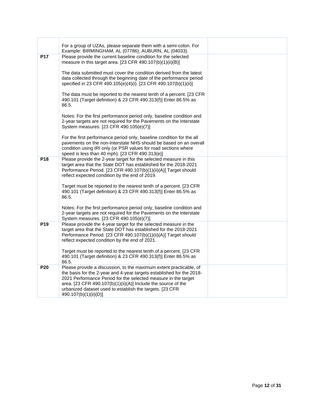| For a group of UZAs, please separate them with a semi-colon. For                                                                                                                                                                                                                                                                           |                                                                               |
|--------------------------------------------------------------------------------------------------------------------------------------------------------------------------------------------------------------------------------------------------------------------------------------------------------------------------------------------|-------------------------------------------------------------------------------|
| Please provide the current baseline condition for the selected<br>measure in this target area. [23 CFR 490.107(b)(1)(ii)(B)]                                                                                                                                                                                                               |                                                                               |
| The data submitted must cover the condition derived from the latest<br>data collected through the beginning date of the performance period<br>specified in 23 CFR 490.105(e)(4)(i). [23 CFR 490.107(b)(1)(ii)]                                                                                                                             |                                                                               |
| The data must be reported to the nearest tenth of a percent. [23 CFR<br>490.101 (Target definition) & 23 CFR 490.313(f)] Enter 86.5% as<br>86.5.                                                                                                                                                                                           |                                                                               |
| Notes: For the first performance period only, baseline condition and<br>2-year targets are not required for the Pavements on the Interstate<br>System measures. [23 CFR 490.105(e)(7)]                                                                                                                                                     |                                                                               |
| For the first performance period only, baseline condition for the all<br>payements on the non-Interstate NHS should be based on an overall<br>condition using IRI only (or PSR values for road sections where<br>speed is less than 40 mph). [23 CFR 490.313(e)]                                                                           |                                                                               |
| Please provide the 2-year target for the selected measure in this<br>target area that the State DOT has established for the 2018-2021<br>Performance Period. [23 CFR 490.107(b)(1)(ii)(A)] Target should<br>reflect expected condition by the end of 2019.                                                                                 |                                                                               |
| Target must be reported to the nearest tenth of a percent. [23 CFR<br>490.101 (Target definition) & 23 CFR 490.313(f)] Enter 86.5% as<br>86.5.                                                                                                                                                                                             |                                                                               |
| Notes: For the first performance period only, baseline condition and<br>2-year targets are not required for the Pavements on the Interstate<br>System measures. [23 CFR 490.105(e)(7)]                                                                                                                                                     |                                                                               |
| Please provide the 4-year target for the selected measure in the<br>target area that the State DOT has established for the 2018-2021<br>Performance Period. [23 CFR 490.107(b)(1)(ii)(A)] Target should<br>reflect expected condition by the end of 2021.                                                                                  |                                                                               |
| Target must be reported to the nearest tenth of a percent. [23 CFR<br>490.101 (Target definition) & 23 CFR 490.313(f)] Enter 86.5% as<br>86.5.                                                                                                                                                                                             |                                                                               |
| Please provide a discussion, to the maximum extent practicable, of<br>the basis for the 2-year and 4-year targets established for the 2018-<br>2021 Performance Period for the selected measure in the target<br>area. [23 CFR 490.107(b)(1)(ii)(A)] Include the source of the<br>urbanized dataset used to establish the targets. [23 CFR |                                                                               |
|                                                                                                                                                                                                                                                                                                                                            | Example: BIRMINGHAM, AL (07786); AUBURN, AL (04033).<br>490.107(b)(1)(ii)(D)] |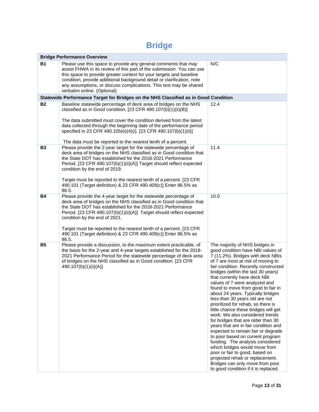### **Bridge**

|           | <b>Bridge Performance Overview</b>                                                                                                                                                                                                                                                                                                                                                                                                                                 |                                                                                                                                                                                                                                                                                                                                                                                                                                                                                                                                                                                                                                                                                                                                                                                                                                                                                                          |
|-----------|--------------------------------------------------------------------------------------------------------------------------------------------------------------------------------------------------------------------------------------------------------------------------------------------------------------------------------------------------------------------------------------------------------------------------------------------------------------------|----------------------------------------------------------------------------------------------------------------------------------------------------------------------------------------------------------------------------------------------------------------------------------------------------------------------------------------------------------------------------------------------------------------------------------------------------------------------------------------------------------------------------------------------------------------------------------------------------------------------------------------------------------------------------------------------------------------------------------------------------------------------------------------------------------------------------------------------------------------------------------------------------------|
| <b>B1</b> | Please use this space to provide any general comments that may<br>assist FHWA in its review of this part of the submission. You can use<br>this space to provide greater context for your targets and baseline<br>condition, provide additional background detail or clarification, note<br>any assumptions, or discuss complications. This text may be shared<br>verbatim online. (Optional)                                                                      | N/C                                                                                                                                                                                                                                                                                                                                                                                                                                                                                                                                                                                                                                                                                                                                                                                                                                                                                                      |
|           | Statewide Performance Target for Bridges on the NHS Classified as in Good Condition                                                                                                                                                                                                                                                                                                                                                                                |                                                                                                                                                                                                                                                                                                                                                                                                                                                                                                                                                                                                                                                                                                                                                                                                                                                                                                          |
| <b>B2</b> | Baseline statewide percentage of deck area of bridges on the NHS<br>classified as in Good condition. [23 CFR 490.107(b)(1)(ii)(B)]<br>The data submitted must cover the condition derived from the latest<br>data collected through the beginning date of the performance period<br>specified in 23 CFR 490.105(e)(4)(i). [23 CFR 490.107(b)(1)(ii)]<br>The data must be reported to the nearest tenth of a percent.                                               | 12.4                                                                                                                                                                                                                                                                                                                                                                                                                                                                                                                                                                                                                                                                                                                                                                                                                                                                                                     |
| <b>B3</b> | Please provide the 2-year target for the statewide percentage of<br>deck area of bridges on the NHS classified as in Good condition that<br>the State DOT has established for the 2018-2021 Performance<br>Period. [23 CFR 490.107(b)(1)(ii)(A)] Target should reflect expected<br>condition by the end of 2019.<br>Target must be reported to the nearest tenth of a percent. [23 CFR<br>490.101 (Target definition) & 23 CFR 490.409(c)] Enter 86.5% as<br>86.5. | 11.4                                                                                                                                                                                                                                                                                                                                                                                                                                                                                                                                                                                                                                                                                                                                                                                                                                                                                                     |
| <b>B4</b> | Please provide the 4-year target for the statewide percentage of<br>deck area of bridges on the NHS classified as in Good condition that<br>the State DOT has established for the 2018-2021 Performance<br>Period. [23 CFR 490.107(b)(1)(ii)(A)] Target should reflect expected<br>condition by the end of 2021.<br>Target must be reported to the nearest tenth of a percent. [23 CFR<br>490.101 (Target definition) & 23 CFR 490.409(c)] Enter 86.5% as<br>86.5. | 10.0                                                                                                                                                                                                                                                                                                                                                                                                                                                                                                                                                                                                                                                                                                                                                                                                                                                                                                     |
| <b>B5</b> | Please provide a discussion, to the maximum extent practicable, of<br>the basis for the 2-year and 4-year targets established for the 2018-<br>2021 Performance Period for the statewide percentage of deck area<br>of bridges on the NHS classified as in Good condition. [23 CFR<br>490.107(b)(1)(ii)(A)]                                                                                                                                                        | The majority of NHS bridges in<br>good condition have NBI values of<br>7 (11.2%). Bridges with deck NBIs<br>of 7 are most at risk of moving to<br>fair condition. Recently constructed<br>bridges (within the last 30 years)<br>that currently have deck NBI<br>values of 7 were analyzed and<br>found to move from good to fair in<br>about 24 years. Typically bridges<br>less than 30 years old are not<br>prioritized for rehab, so there is<br>little chance these bridges will get<br>work. We also considered trends<br>for bridges that are older than 30<br>years that are in fair condition and<br>expected to remain fair or degrade<br>to poor based on current program<br>funding. The analysis considered<br>which bridges would move from<br>poor or fair to good, based on<br>projected rehab or replacement.<br>Bridges can only move from poor<br>to good condition if it is replaced. |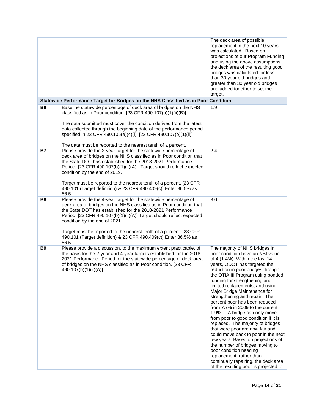|                |                                                                                                                                                                                                                                                                                                                                                                                                                                                                    | The deck area of possible<br>replacement in the next 10 years<br>was calculated. Based on<br>projections of our Program Funding<br>and using the above assumptions,<br>the deck area of the resulting good<br>bridges was calculated for less<br>than 30 year old bridges and<br>greater than 30 year old bridges<br>and added together to set the<br>target.                                                                                                                                                                                                                                                                                                                                                                                                                                                                    |
|----------------|--------------------------------------------------------------------------------------------------------------------------------------------------------------------------------------------------------------------------------------------------------------------------------------------------------------------------------------------------------------------------------------------------------------------------------------------------------------------|----------------------------------------------------------------------------------------------------------------------------------------------------------------------------------------------------------------------------------------------------------------------------------------------------------------------------------------------------------------------------------------------------------------------------------------------------------------------------------------------------------------------------------------------------------------------------------------------------------------------------------------------------------------------------------------------------------------------------------------------------------------------------------------------------------------------------------|
|                | Statewide Performance Target for Bridges on the NHS Classified as in Poor Condition                                                                                                                                                                                                                                                                                                                                                                                |                                                                                                                                                                                                                                                                                                                                                                                                                                                                                                                                                                                                                                                                                                                                                                                                                                  |
| <b>B6</b>      | Baseline statewide percentage of deck area of bridges on the NHS<br>classified as in Poor condition. [23 CFR 490.107(b)(1)(ii)(B)]<br>The data submitted must cover the condition derived from the latest<br>data collected through the beginning date of the performance period<br>specified in 23 CFR 490.105(e)(4)(i). [23 CFR 490.107(b)(1)(ii)]<br>The data must be reported to the nearest tenth of a percent.                                               | 1.9                                                                                                                                                                                                                                                                                                                                                                                                                                                                                                                                                                                                                                                                                                                                                                                                                              |
| <b>B7</b>      | Please provide the 2-year target for the statewide percentage of<br>deck area of bridges on the NHS classified as in Poor condition that<br>the State DOT has established for the 2018-2021 Performance<br>Period. [23 CFR 490.107(b)(1)(ii)(A)] Target should reflect expected<br>condition by the end of 2019.<br>Target must be reported to the nearest tenth of a percent. [23 CFR<br>490.101 (Target definition) & 23 CFR 490.409(c)] Enter 86.5% as<br>86.5. | 2.4                                                                                                                                                                                                                                                                                                                                                                                                                                                                                                                                                                                                                                                                                                                                                                                                                              |
| B <sub>8</sub> | Please provide the 4-year target for the statewide percentage of<br>deck area of bridges on the NHS classified as in Poor condition that<br>the State DOT has established for the 2018-2021 Performance<br>Period. [23 CFR 490.107(b)(1)(ii)(A)] Target should reflect expected<br>condition by the end of 2021.<br>Target must be reported to the nearest tenth of a percent. [23 CFR<br>490.101 (Target definition) & 23 CFR 490.409(c)] Enter 86.5% as<br>86.5. | 3.0                                                                                                                                                                                                                                                                                                                                                                                                                                                                                                                                                                                                                                                                                                                                                                                                                              |
| B9             | Please provide a discussion, to the maximum extent practicable, of<br>the basis for the 2-year and 4-year targets established for the 2018-<br>2021 Performance Period for the statewide percentage of deck area<br>of bridges on the NHS classified as in Poor condition. [23 CFR<br>490.107(b)(1)(ii)(A)]                                                                                                                                                        | The majority of NHS bridges in<br>poor condition have an NBI value<br>of 4 (1.4%). Within the last 14<br>years, ODOT has targeted the<br>reduction in poor bridges through<br>the OTIA III Program using bonded<br>funding for strengthening and<br>limited replacements, and using<br>Major Bridge Maintenance for<br>strengthening and repair. The<br>percent poor has been reduced<br>from 7.7% in 2009 to the current<br>1.9%. A bridge can only move<br>from poor to good condition if it is<br>replaced. The majority of bridges<br>that were poor are now fair and<br>could move back to poor in the next<br>few years. Based on projections of<br>the number of bridges moving to<br>poor condition needing<br>replacement, rather than<br>continually repairing, the deck area<br>of the resulting poor is projected to |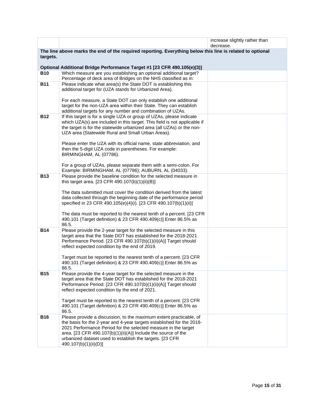|            |                                                                                                                                                   | increase slightly rather than<br>decrease. |
|------------|---------------------------------------------------------------------------------------------------------------------------------------------------|--------------------------------------------|
| targets.   | The line above marks the end of the required reporting. Everything below this line is related to optional                                         |                                            |
|            |                                                                                                                                                   |                                            |
|            | Optional Additional Bridge Performance Target #1 [23 CFR 490.105(e)(3)]                                                                           |                                            |
| B10        | Which measure are you establishing an optional additional target?<br>Percentage of deck area of Bridges on the NHS classified as in:              |                                            |
| <b>B11</b> | Please indicate what area(s) the State DOT is establishing this                                                                                   |                                            |
|            | additional target for (UZA stands for Urbanized Area).                                                                                            |                                            |
|            | For each measure, a State DOT can only establish one additional                                                                                   |                                            |
|            | target for the non-UZA area within their State. They can establish                                                                                |                                            |
|            | additional targets for any number and combination of UZAs.                                                                                        |                                            |
| <b>B12</b> | If this target is for a single UZA or group of UZAs, please indicate<br>which UZA(s) are included in this target. This field is not applicable if |                                            |
|            | the target is for the statewide urbanized area (all UZAs) or the non-                                                                             |                                            |
|            | UZA area (Statewide Rural and Small Urban Areas).                                                                                                 |                                            |
|            | Please enter the UZA with its official name, state abbreviation, and                                                                              |                                            |
|            | then the 5-digit UZA code in parentheses. For example:                                                                                            |                                            |
|            | BIRMINGHAM, AL (07786).                                                                                                                           |                                            |
|            | For a group of UZAs, please separate them with a semi-colon. For                                                                                  |                                            |
| <b>B13</b> | Example: BIRMINGHAM, AL (07786); AUBURN, AL (04033).<br>Please provide the baseline condition for the selected measure in                         |                                            |
|            | this target area. [23 CFR 490.107(b)(1)(ii)(B)]                                                                                                   |                                            |
|            |                                                                                                                                                   |                                            |
|            | The data submitted must cover the condition derived from the latest<br>data collected through the beginning date of the performance period        |                                            |
|            | specified in 23 CFR 490.105(e)(4)(i). [23 CFR 490.107(b)(1)(ii)]                                                                                  |                                            |
|            | The data must be reported to the nearest tenth of a percent. [23 CFR                                                                              |                                            |
|            | 490.101 (Target definition) & 23 CFR 490.409(c)] Enter 86.5% as                                                                                   |                                            |
|            | 86.5.                                                                                                                                             |                                            |
| <b>B14</b> | Please provide the 2-year target for the selected measure in this<br>target area that the State DOT has established for the 2018-2021             |                                            |
|            | Performance Period. [23 CFR 490.107(b)(1)(ii)(A)] Target should                                                                                   |                                            |
|            | reflect expected condition by the end of 2019.                                                                                                    |                                            |
|            | Target must be reported to the nearest tenth of a percent. [23 CFR                                                                                |                                            |
|            | 490.101 (Target definition) & 23 CFR 490.409(c)] Enter 86.5% as                                                                                   |                                            |
| <b>B15</b> | 86.5.<br>Please provide the 4-year target for the selected measure in the                                                                         |                                            |
|            | target area that the State DOT has established for the 2018-2021                                                                                  |                                            |
|            | Performance Period. [23 CFR 490.107(b)(1)(ii)(A)] Target should<br>reflect expected condition by the end of 2021.                                 |                                            |
|            |                                                                                                                                                   |                                            |
|            | Target must be reported to the nearest tenth of a percent. [23 CFR                                                                                |                                            |
|            | 490.101 (Target definition) & 23 CFR 490.409(c)] Enter 86.5% as<br>86.5.                                                                          |                                            |
| <b>B16</b> | Please provide a discussion, to the maximum extent practicable, of                                                                                |                                            |
|            | the basis for the 2-year and 4-year targets established for the 2018-<br>2021 Performance Period for the selected measure in the target           |                                            |
|            | area. [23 CFR 490.107(b)(1)(ii)(A)] Include the source of the                                                                                     |                                            |
|            | urbanized dataset used to establish the targets. [23 CFR                                                                                          |                                            |
|            | 490.107(b)(1)(ii)(D)]                                                                                                                             |                                            |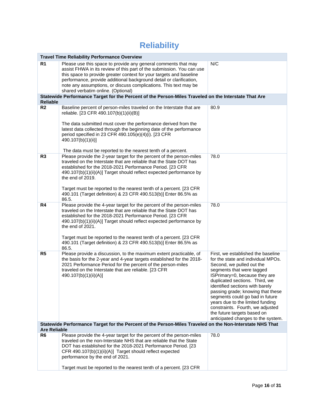### **Reliability**

| <b>Travel Time Reliability Performance Overview</b> |                                                                                                                                                                                                                                                                                                                                                                                                                                                                                                                       |                                                                                                                                                                                                                                                                                                                                                                                                                                                               |
|-----------------------------------------------------|-----------------------------------------------------------------------------------------------------------------------------------------------------------------------------------------------------------------------------------------------------------------------------------------------------------------------------------------------------------------------------------------------------------------------------------------------------------------------------------------------------------------------|---------------------------------------------------------------------------------------------------------------------------------------------------------------------------------------------------------------------------------------------------------------------------------------------------------------------------------------------------------------------------------------------------------------------------------------------------------------|
| R <sub>1</sub>                                      | Please use this space to provide any general comments that may<br>assist FHWA in its review of this part of the submission. You can use<br>this space to provide greater context for your targets and baseline<br>performance, provide additional background detail or clarification,<br>note any assumptions, or discuss complications. This text may be<br>shared verbatim online. (Optional)                                                                                                                       | N/C                                                                                                                                                                                                                                                                                                                                                                                                                                                           |
|                                                     | Statewide Performance Target for the Percent of the Person-Miles Traveled on the Interstate That Are                                                                                                                                                                                                                                                                                                                                                                                                                  |                                                                                                                                                                                                                                                                                                                                                                                                                                                               |
| <b>Reliable</b><br>R <sub>2</sub>                   | Baseline percent of person-miles traveled on the Interstate that are<br>reliable. [23 CFR 490.107(b)(1)(ii)(B)]<br>The data submitted must cover the performance derived from the<br>latest data collected through the beginning date of the performance<br>period specified in 23 CFR 490.105(e)(4)(i). [23 CFR<br>490.107(b)(1)(ii)]                                                                                                                                                                                | 80.9                                                                                                                                                                                                                                                                                                                                                                                                                                                          |
| R <sub>3</sub>                                      | The data must be reported to the nearest tenth of a percent.<br>Please provide the 2-year target for the percent of the person-miles<br>traveled on the Interstate that are reliable that the State DOT has<br>established for the 2018-2021 Performance Period. [23 CFR<br>490.107(b)(1)(ii)(A)] Target should reflect expected performance by<br>the end of 2019.<br>Target must be reported to the nearest tenth of a percent. [23 CFR<br>490.101 (Target definition) & 23 CFR 490.513(b)] Enter 86.5% as<br>86.5. | 78.0                                                                                                                                                                                                                                                                                                                                                                                                                                                          |
| R4                                                  | Please provide the 4-year target for the percent of the person-miles<br>traveled on the Interstate that are reliable that the State DOT has<br>established for the 2018-2021 Performance Period. [23 CFR<br>490.107(b)(1)(ii)(A)] Target should reflect expected performance by<br>the end of 2021.<br>Target must be reported to the nearest tenth of a percent. [23 CFR<br>490.101 (Target definition) & 23 CFR 490.513(b)] Enter 86.5% as<br>86.5.                                                                 | 78.0                                                                                                                                                                                                                                                                                                                                                                                                                                                          |
| R <sub>5</sub>                                      | Please provide a discussion, to the maximum extent practicable, of<br>the basis for the 2-year and 4-year targets established for the 2018-<br>2021 Performance Period for the percent of the person-miles<br>traveled on the Interstate that are reliable. [23 CFR<br>490.107(b)(1)(ii)(A)]                                                                                                                                                                                                                          | First, we established the baseline<br>for the state and individual MPOs.<br>Second, we pulled out the<br>segments that were tagged<br>ISPrimary=0, because they are<br>duplicated sections. Third, we<br>identified sections with barely<br>passing grade; knowing that these<br>segments could go bad in future<br>years due to the limited funding<br>constraints. Fourth, we adjusted<br>the future targets based on<br>anticipated changes to the system. |
| <b>Are Reliable</b>                                 | Statewide Performance Target for the Percent of the Person-Miles Traveled on the Non-Interstate NHS That                                                                                                                                                                                                                                                                                                                                                                                                              |                                                                                                                                                                                                                                                                                                                                                                                                                                                               |
| R <sub>6</sub>                                      | Please provide the 4-year target for the percent of the person-miles<br>traveled on the non-Interstate NHS that are reliable that the State<br>DOT has established for the 2018-2021 Performance Period. [23<br>CFR 490.107(b)(1)(ii)(A)] Target should reflect expected<br>performance by the end of 2021.<br>Target must be reported to the nearest tenth of a percent. [23 CFR                                                                                                                                     | 78.0                                                                                                                                                                                                                                                                                                                                                                                                                                                          |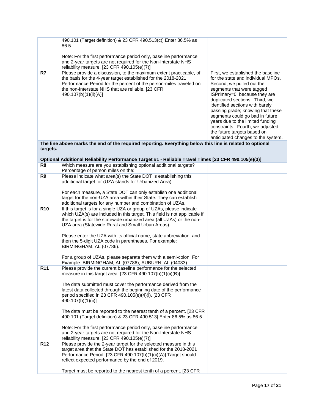|                 | 490.101 (Target definition) & 23 CFR 490.513(c)] Enter 86.5% as<br>86.5.                                                                                                                                          |                                                                                                                                                                                                                                                                            |
|-----------------|-------------------------------------------------------------------------------------------------------------------------------------------------------------------------------------------------------------------|----------------------------------------------------------------------------------------------------------------------------------------------------------------------------------------------------------------------------------------------------------------------------|
|                 |                                                                                                                                                                                                                   |                                                                                                                                                                                                                                                                            |
|                 | Note: For the first performance period only, baseline performance<br>and 2-year targets are not required for the Non-Interstate NHS<br>reliability measure. [23 CFR 490.105(e)(7)]                                |                                                                                                                                                                                                                                                                            |
| R7              | Please provide a discussion, to the maximum extent practicable, of                                                                                                                                                | First, we established the baseline                                                                                                                                                                                                                                         |
|                 | the basis for the 4-year target established for the 2018-2021<br>Performance Period for the percent of the person-miles traveled on<br>the non-Interstate NHS that are reliable. [23 CFR<br>490.107(b)(1)(ii)(A)] | for the state and individual MPOs.<br>Second, we pulled out the<br>segments that were tagged<br>ISPrimary=0, because they are<br>duplicated sections. Third, we<br>identified sections with barely<br>passing grade; knowing that these<br>segments could go bad in future |
|                 |                                                                                                                                                                                                                   | years due to the limited funding                                                                                                                                                                                                                                           |
|                 |                                                                                                                                                                                                                   | constraints. Fourth, we adjusted                                                                                                                                                                                                                                           |
|                 |                                                                                                                                                                                                                   | the future targets based on                                                                                                                                                                                                                                                |
|                 |                                                                                                                                                                                                                   | anticipated changes to the system.                                                                                                                                                                                                                                         |
|                 | The line above marks the end of the required reporting. Everything below this line is related to optional                                                                                                         |                                                                                                                                                                                                                                                                            |
| targets.        |                                                                                                                                                                                                                   |                                                                                                                                                                                                                                                                            |
|                 |                                                                                                                                                                                                                   |                                                                                                                                                                                                                                                                            |
|                 | Optional Additional Reliability Performance Target #1 - Reliable Travel Times [23 CFR 490.105(e)(3)]                                                                                                              |                                                                                                                                                                                                                                                                            |
| R <sub>8</sub>  | Which measure are you establishing optional additional targets?                                                                                                                                                   |                                                                                                                                                                                                                                                                            |
|                 | Percentage of person miles on the:                                                                                                                                                                                |                                                                                                                                                                                                                                                                            |
| R9              | Please indicate what area(s) the State DOT is establishing this                                                                                                                                                   |                                                                                                                                                                                                                                                                            |
|                 | additional target for (UZA stands for Urbanized Area).                                                                                                                                                            |                                                                                                                                                                                                                                                                            |
|                 | For each measure, a State DOT can only establish one additional                                                                                                                                                   |                                                                                                                                                                                                                                                                            |
|                 | target for the non-UZA area within their State. They can establish                                                                                                                                                |                                                                                                                                                                                                                                                                            |
|                 | additional targets for any number and combination of UZAs.                                                                                                                                                        |                                                                                                                                                                                                                                                                            |
| <b>R10</b>      | If this target is for a single UZA or group of UZAs, please indicate                                                                                                                                              |                                                                                                                                                                                                                                                                            |
|                 | which UZA(s) are included in this target. This field is not applicable if                                                                                                                                         |                                                                                                                                                                                                                                                                            |
|                 | the target is for the statewide urbanized area (all UZAs) or the non-                                                                                                                                             |                                                                                                                                                                                                                                                                            |
|                 | UZA area (Statewide Rural and Small Urban Areas).                                                                                                                                                                 |                                                                                                                                                                                                                                                                            |
|                 | Please enter the UZA with its official name, state abbreviation, and                                                                                                                                              |                                                                                                                                                                                                                                                                            |
|                 | then the 5-digit UZA code in parentheses. For example:                                                                                                                                                            |                                                                                                                                                                                                                                                                            |
|                 | BIRMINGHAM, AL (07786).                                                                                                                                                                                           |                                                                                                                                                                                                                                                                            |
|                 | For a group of UZAs, please separate them with a semi-colon. For                                                                                                                                                  |                                                                                                                                                                                                                                                                            |
|                 | Example: BIRMINGHAM, AL (07786); AUBURN, AL (04033).                                                                                                                                                              |                                                                                                                                                                                                                                                                            |
| R <sub>11</sub> | Please provide the current baseline performance for the selected<br>measure in this target area. [23 CFR 490.107(b)(1)(ii)(B)]                                                                                    |                                                                                                                                                                                                                                                                            |
|                 |                                                                                                                                                                                                                   |                                                                                                                                                                                                                                                                            |
|                 | The data submitted must cover the performance derived from the                                                                                                                                                    |                                                                                                                                                                                                                                                                            |
|                 | latest data collected through the beginning date of the performance                                                                                                                                               |                                                                                                                                                                                                                                                                            |
|                 | period specified in 23 CFR 490.105(e)(4)(i). [23 CFR<br>490.107(b)(1)(ii)]                                                                                                                                        |                                                                                                                                                                                                                                                                            |
|                 | The data must be reported to the nearest tenth of a percent. [23 CFR                                                                                                                                              |                                                                                                                                                                                                                                                                            |
|                 | 490.101 (Target definition) & 23 CFR 490.513] Enter 86.5% as 86.5.                                                                                                                                                |                                                                                                                                                                                                                                                                            |
|                 | Note: For the first performance period only, baseline performance                                                                                                                                                 |                                                                                                                                                                                                                                                                            |
|                 | and 2-year targets are not required for the Non-Interstate NHS                                                                                                                                                    |                                                                                                                                                                                                                                                                            |
|                 | reliability measure. $[23$ CFR 490.105(e)(7)]                                                                                                                                                                     |                                                                                                                                                                                                                                                                            |
| R <sub>12</sub> | Please provide the 2-year target for the selected measure in this                                                                                                                                                 |                                                                                                                                                                                                                                                                            |
|                 | target area that the State DOT has established for the 2018-2021                                                                                                                                                  |                                                                                                                                                                                                                                                                            |
|                 | Performance Period. [23 CFR 490.107(b)(1)(ii)(A)] Target should                                                                                                                                                   |                                                                                                                                                                                                                                                                            |
|                 | reflect expected performance by the end of 2019.                                                                                                                                                                  |                                                                                                                                                                                                                                                                            |
|                 |                                                                                                                                                                                                                   |                                                                                                                                                                                                                                                                            |
|                 | Target must be reported to the nearest tenth of a percent. [23 CFR                                                                                                                                                |                                                                                                                                                                                                                                                                            |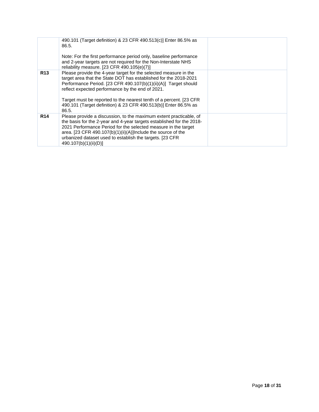|            | 490.101 (Target definition) & 23 CFR 490.513(c)] Enter 86.5% as<br>86.5.<br>Note: For the first performance period only, baseline performance<br>and 2-year targets are not required for the Non-Interstate NHS<br>reliability measure. [23 CFR 490.105(e)(7)]                                                                                                                                                 |  |
|------------|----------------------------------------------------------------------------------------------------------------------------------------------------------------------------------------------------------------------------------------------------------------------------------------------------------------------------------------------------------------------------------------------------------------|--|
| <b>R13</b> | Please provide the 4-year target for the selected measure in the<br>target area that the State DOT has established for the 2018-2021<br>Performance Period. [23 CFR 490.107(b)(1)(ii)(A)] Target should<br>reflect expected performance by the end of 2021.<br>Target must be reported to the nearest tenth of a percent. [23 CFR]<br>490.101 (Target definition) & 23 CFR 490.513(b)] Enter 86.5% as<br>86.5. |  |
| <b>R14</b> | Please provide a discussion, to the maximum extent practicable, of<br>the basis for the 2-year and 4-year targets established for the 2018-<br>2021 Performance Period for the selected measure in the target<br>area. [23 CFR 490.107(b)(1)(ii)(A)]Include the source of the<br>urbanized dataset used to establish the targets. [23 CFR<br>490.107(b)(1)(ii)(D)]                                             |  |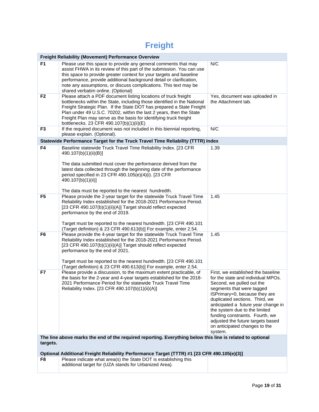## **Freight**

|                                                                                                                       | <b>Freight Reliability (Movement) Performance Overview</b>                                                                                                                                                                                                                                                                                                                                                   |                                                                                                                                                                                                                                                                                                                                                                                                   |  |
|-----------------------------------------------------------------------------------------------------------------------|--------------------------------------------------------------------------------------------------------------------------------------------------------------------------------------------------------------------------------------------------------------------------------------------------------------------------------------------------------------------------------------------------------------|---------------------------------------------------------------------------------------------------------------------------------------------------------------------------------------------------------------------------------------------------------------------------------------------------------------------------------------------------------------------------------------------------|--|
| F <sub>1</sub>                                                                                                        | Please use this space to provide any general comments that may<br>assist FHWA in its review of this part of the submission. You can use<br>this space to provide greater context for your targets and baseline<br>performance, provide additional background detail or clarification,<br>note any assumptions, or discuss complications. This text may be<br>shared verbatim online. (Optional)              | N/C                                                                                                                                                                                                                                                                                                                                                                                               |  |
| F <sub>2</sub>                                                                                                        | Please attach a PDF document listing locations of truck freight<br>bottlenecks within the State, including those identified in the National<br>Freight Strategic Plan. If the State DOT has prepared a State Freight<br>Plan under 49 U.S.C. 70202, within the last 2 years, then the State<br>Freight Plan may serve as the basis for identifying truck freight<br>bottlenecks. 23 CFR 490.107(b)(1)(ii)(E) | Yes, document was uploaded in<br>the Attachment tab.                                                                                                                                                                                                                                                                                                                                              |  |
| F <sub>3</sub>                                                                                                        | If the required document was not included in this biennial reporting,<br>please explain. (Optional).                                                                                                                                                                                                                                                                                                         | N/C                                                                                                                                                                                                                                                                                                                                                                                               |  |
|                                                                                                                       | Statewide Performance Target for the Truck Travel Time Reliability (TTTR) Index                                                                                                                                                                                                                                                                                                                              |                                                                                                                                                                                                                                                                                                                                                                                                   |  |
| F4                                                                                                                    | Baseline statewide Truck Travel Time Reliability Index. [23 CFR<br>490.107(b)(1)(ii)(B)]<br>The data submitted must cover the performance derived from the<br>latest data collected through the beginning date of the performance                                                                                                                                                                            | 1.39                                                                                                                                                                                                                                                                                                                                                                                              |  |
|                                                                                                                       | period specified in 23 CFR 490.105(e)(4)(i). [23 CFR<br>490.107(b)(1)(ii)]<br>The data must be reported to the nearest hundredth.                                                                                                                                                                                                                                                                            |                                                                                                                                                                                                                                                                                                                                                                                                   |  |
| F <sub>5</sub>                                                                                                        | Please provide the 2-year target for the statewide Truck Travel Time<br>Reliability Index established for the 2018-2021 Performance Period.<br>[23 CFR 490.107(b)(1)(ii)(A)] Target should reflect expected<br>performance by the end of 2019.<br>Target must be reported to the nearest hundredth. [23 CFR 490.101<br>(Target definition) & 23 CFR 490.613(b)] For example, enter 2.54.                     | 1.45                                                                                                                                                                                                                                                                                                                                                                                              |  |
| F <sub>6</sub>                                                                                                        | Please provide the 4-year target for the statewide Truck Travel Time<br>Reliability Index established for the 2018-2021 Performance Period.<br>[23 CFR 490.107(b)(1)(ii)(A)] Target should reflect expected<br>performance by the end of 2021.<br>Target must be reported to the nearest hundredth. [23 CFR 490.101<br>(Target definition) & 23 CFR 490.613(b)] For example, enter 2.54.                     | 1.45                                                                                                                                                                                                                                                                                                                                                                                              |  |
| F7                                                                                                                    | Please provide a discussion, to the maximum extent practicable, of<br>the basis for the 2-year and 4-year targets established for the 2018-<br>2021 Performance Period for the statewide Truck Travel Time<br>Reliability Index. [23 CFR 490.107(b)(1)(ii)(A)]                                                                                                                                               | First, we established the baseline<br>for the state and individual MPOs.<br>Second, we pulled out the<br>segments that were tagged<br>ISPrimary=0, because they are<br>duplicated sections. Third, we<br>anticipated a future year change in<br>the system due to the limited<br>funding constraints. Fourth, we<br>adjusted the future targets based<br>on anticipated changes to the<br>system. |  |
| The line above marks the end of the required reporting. Everything below this line is related to optional<br>targets. |                                                                                                                                                                                                                                                                                                                                                                                                              |                                                                                                                                                                                                                                                                                                                                                                                                   |  |
|                                                                                                                       | Optional Additional Freight Reliability Performance Target (TTTR) #1 [23 CFR 490.105(e)(3)]                                                                                                                                                                                                                                                                                                                  |                                                                                                                                                                                                                                                                                                                                                                                                   |  |
| F8                                                                                                                    | Please indicate what area(s) the State DOT is establishing this<br>additional target for (UZA stands for Urbanized Area).                                                                                                                                                                                                                                                                                    |                                                                                                                                                                                                                                                                                                                                                                                                   |  |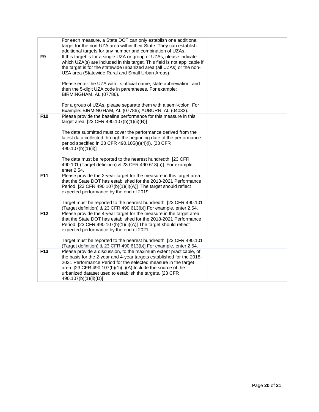|                | For each measure, a State DOT can only establish one additional<br>target for the non-UZA area within their State. They can establish<br>additional targets for any number and combination of UZAs.                                                                                                                                                                |  |
|----------------|--------------------------------------------------------------------------------------------------------------------------------------------------------------------------------------------------------------------------------------------------------------------------------------------------------------------------------------------------------------------|--|
| F <sub>9</sub> | If this target is for a single UZA or group of UZAs, please indicate<br>which UZA(s) are included in this target. This field is not applicable if<br>the target is for the statewide urbanized area (all UZAs) or the non-<br>UZA area (Statewide Rural and Small Urban Areas).                                                                                    |  |
|                | Please enter the UZA with its official name, state abbreviation, and<br>then the 5-digit UZA code in parentheses. For example:<br>BIRMINGHAM, AL (07786).                                                                                                                                                                                                          |  |
|                | For a group of UZAs, please separate them with a semi-colon. For<br>Example: BIRMINGHAM, AL (07786); AUBURN, AL (04033).                                                                                                                                                                                                                                           |  |
| F10            | Please provide the baseline performance for this measure in this<br>target area. [23 CFR 490.107(b)(1)(ii)(B)]                                                                                                                                                                                                                                                     |  |
|                | The data submitted must cover the performance derived from the<br>latest data collected through the beginning date of the performance<br>period specified in 23 CFR 490.105(e)(4)(i). [23 CFR<br>490.107(b)(1)(ii)]                                                                                                                                                |  |
|                | The data must be reported to the nearest hundredth. [23 CFR<br>490.101 (Target definition) & 23 CFR 490.613(b)] For example,<br>enter 2.54.                                                                                                                                                                                                                        |  |
| F11            | Please provide the 2-year target for the measure in this target area<br>that the State DOT has established for the 2018-2021 Performance<br>Period. [23 CFR 490.107(b)(1)(ii)(A)] The target should reflect<br>expected performance by the end of 2019.                                                                                                            |  |
|                | Target must be reported to the nearest hundredth. [23 CFR 490.101<br>(Target definition) & 23 CFR 490.613(b)] For example, enter 2.54.                                                                                                                                                                                                                             |  |
| F12            | Please provide the 4-year target for the measure in the target area<br>that the State DOT has established for the 2018-2021 Performance<br>Period. [23 CFR 490.107(b)(1)(ii)(A)] The target should reflect<br>expected performance by the end of 2021.                                                                                                             |  |
|                | Target must be reported to the nearest hundredth. [23 CFR 490.101<br>(Target definition) & 23 CFR 490.613(b)] For example, enter 2.54.                                                                                                                                                                                                                             |  |
| F13            | Please provide a discussion, to the maximum extent practicable, of<br>the basis for the 2-year and 4-year targets established for the 2018-<br>2021 Performance Period for the selected measure in the target<br>area. [23 CFR 490.107(b)(1)(ii)(A)]Include the source of the<br>urbanized dataset used to establish the targets. [23 CFR<br>490.107(b)(1)(ii)(D)] |  |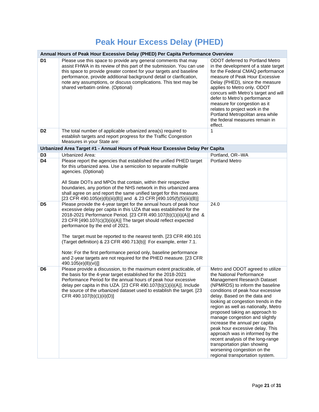## **Peak Hour Excess Delay (PHED)**

|                | Annual Hours of Peak Hour Excessive Delay (PHED) Per Capita Performance Overview                                                                                                                                                                                                                                                                                                                                                                                                                                                                                                                                                |                                                                                                                                                                                                                                                                                                                                                                                                                                                                                                                                                                                                     |  |
|----------------|---------------------------------------------------------------------------------------------------------------------------------------------------------------------------------------------------------------------------------------------------------------------------------------------------------------------------------------------------------------------------------------------------------------------------------------------------------------------------------------------------------------------------------------------------------------------------------------------------------------------------------|-----------------------------------------------------------------------------------------------------------------------------------------------------------------------------------------------------------------------------------------------------------------------------------------------------------------------------------------------------------------------------------------------------------------------------------------------------------------------------------------------------------------------------------------------------------------------------------------------------|--|
| D <sub>1</sub> | Please use this space to provide any general comments that may<br>assist FHWA in its review of this part of the submission. You can use<br>this space to provide greater context for your targets and baseline<br>performance, provide additional background detail or clarification,<br>note any assumptions, or discuss complications. This text may be<br>shared verbatim online. (Optional)                                                                                                                                                                                                                                 | ODOT deferred to Portland Metro<br>in the development of a state target<br>for the Federal CMAQ performance<br>measure of Peak Hour Excessive<br>Delay (PHED), since the measure<br>applies to Metro only. ODOT<br>concurs with Metro's target and will<br>defer to Metro's performance<br>measure for congestion as it<br>relates to project work in the<br>Portland Metropolitan area while<br>the federal measures remain in<br>effect.                                                                                                                                                          |  |
| D <sub>2</sub> | The total number of applicable urbanized area(s) required to<br>establish targets and report progress for the Traffic Congestion<br>Measures in your State are:                                                                                                                                                                                                                                                                                                                                                                                                                                                                 | $\mathbf{1}$                                                                                                                                                                                                                                                                                                                                                                                                                                                                                                                                                                                        |  |
|                | Urbanized Area Target #1 - Annual Hours of Peak Hour Excessive Delay Per Capita                                                                                                                                                                                                                                                                                                                                                                                                                                                                                                                                                 |                                                                                                                                                                                                                                                                                                                                                                                                                                                                                                                                                                                                     |  |
| D <sub>3</sub> | Urbanized Area:                                                                                                                                                                                                                                                                                                                                                                                                                                                                                                                                                                                                                 | Portland, OR--WA                                                                                                                                                                                                                                                                                                                                                                                                                                                                                                                                                                                    |  |
| D4             | Please report the agencies that established the unified PHED target<br>for this urbanized area. Use a semicolon to separate multiple<br>agencies. (Optional)<br>All State DOTs and MPOs that contain, within their respective<br>boundaries, any portion of the NHS network in this urbanized area<br>shall agree on and report the same unified target for this measure.<br>[23 CFR 490.105(e)(8)(iii)(B)] and & 23 CFR [490.105(f)(5)(iii)(B)]                                                                                                                                                                                | <b>Portland Metro</b>                                                                                                                                                                                                                                                                                                                                                                                                                                                                                                                                                                               |  |
| D <sub>5</sub> | Please provide the 4-year target for the annual hours of peak hour<br>excessive delay per capita in this UZA that was established for the<br>2018-2021 Performance Period. [23 CFR 490.107(b)(1)(ii)(A)] and &<br>23 CFR [490.107(c)(3)(ii)(A)] The target should reflect expected<br>performance by the end of 2021.<br>The target must be reported to the nearest tenth. [23 CFR 490.101<br>(Target definition) & 23 CFR 490.713(b)] For example, enter 7.1.<br>Note: For the first performance period only, baseline performance<br>and 2-year targets are not required for the PHED measure. [23 CFR<br>490.105(e)(8)(vi)]] | 24.0                                                                                                                                                                                                                                                                                                                                                                                                                                                                                                                                                                                                |  |
| D <sub>6</sub> | Please provide a discussion, to the maximum extent practicable, of<br>the basis for the 4-year target established for the 2018-2021<br>Performance Period for the annual hours of peak hour excessive<br>delay per capita in this UZA. [23 CFR 490.107(b)(1)(ii)(A)]. Include<br>the source of the urbanized dataset used to establish the target. [23]<br>CFR 490.107(b)(1)(ii)(D)]                                                                                                                                                                                                                                            | Metro and ODOT agreed to utilize<br>the National Performance<br>Management Research Dataset<br>(NPMRDS) to inform the baseline<br>conditions of peak hour excessive<br>delay. Based on the data and<br>looking at congestion trends in the<br>region as well as nationally, Metro<br>proposed taking an approach to<br>manage congestion and slightly<br>increase the annual per capita<br>peak hour excessive delay. This<br>approach was in informed by the<br>recent analysis of the long-range<br>transportation plan showing<br>worsening congestion on the<br>regional transportation system. |  |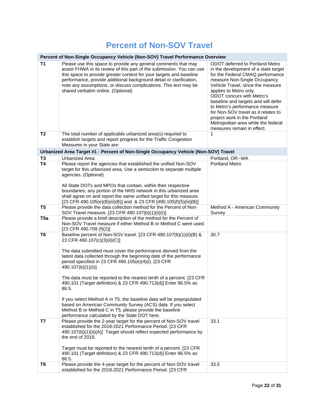#### **Percent of Non-SOV Travel**

| Percent of Non-Single Occupancy Vehicle (Non-SOV) Travel Performance Overview |                                                                                                                                                                                                                                                                                                                                                                                                                                                                                                                                                                                                                                                                                                                                   |                                                                                                                                                                                                                                                                                                                                                                                                                                                              |
|-------------------------------------------------------------------------------|-----------------------------------------------------------------------------------------------------------------------------------------------------------------------------------------------------------------------------------------------------------------------------------------------------------------------------------------------------------------------------------------------------------------------------------------------------------------------------------------------------------------------------------------------------------------------------------------------------------------------------------------------------------------------------------------------------------------------------------|--------------------------------------------------------------------------------------------------------------------------------------------------------------------------------------------------------------------------------------------------------------------------------------------------------------------------------------------------------------------------------------------------------------------------------------------------------------|
| T1                                                                            | Please use this space to provide any general comments that may<br>assist FHWA in its review of this part of the submission. You can use<br>this space to provide greater context for your targets and baseline<br>performance, provide additional background detail or clarification,<br>note any assumptions, or discuss complications. This text may be<br>shared verbatim online. (Optional)                                                                                                                                                                                                                                                                                                                                   | ODOT deferred to Portland Metro<br>in the development of a state target<br>for the Federal CMAQ performance<br>measure Non-Single Occupancy<br>Vehicle Travel, since the measure<br>applies to Metro only.<br>ODOT concurs with Metro's<br>baseline and targets and will defer<br>to Metro's performance measure<br>for Non-SOV travel as it relates to<br>project work in the Portland<br>Metropolitan area while the federal<br>measures remain in effect. |
| T <sub>2</sub>                                                                | The total number of applicable urbanized area(s) required to<br>establish targets and report progress for the Traffic Congestion<br>Measures in your State are:                                                                                                                                                                                                                                                                                                                                                                                                                                                                                                                                                                   | 1                                                                                                                                                                                                                                                                                                                                                                                                                                                            |
|                                                                               | Urbanized Area Target #1 - Percent of Non-Single Occupancy Vehicle (Non-SOV) Travel                                                                                                                                                                                                                                                                                                                                                                                                                                                                                                                                                                                                                                               |                                                                                                                                                                                                                                                                                                                                                                                                                                                              |
| T <sub>3</sub>                                                                | Urbanized Area:                                                                                                                                                                                                                                                                                                                                                                                                                                                                                                                                                                                                                                                                                                                   | Portland, OR--WA                                                                                                                                                                                                                                                                                                                                                                                                                                             |
| T <sub>4</sub>                                                                | Please report the agencies that established the unified Non-SOV<br>target for this urbanized area. Use a semicolon to separate multiple<br>agencies. (Optional)<br>All State DOTs and MPOs that contain, within their respective<br>boundaries, any portion of the NHS network in this urbanized area<br>shall agree on and report the same unified target for this measure.<br>[23 CFR 490.105(e)(8)(iii)(B)] and & 23 CFR [490.105(f)(5)(iii)(B)]                                                                                                                                                                                                                                                                               | <b>Portland Metro</b>                                                                                                                                                                                                                                                                                                                                                                                                                                        |
| T <sub>5</sub>                                                                | Please provide the data collection method for the Percent of Non-<br>SOV Travel measure. [23 CFR 490.107(b)(1)(ii)(l)]                                                                                                                                                                                                                                                                                                                                                                                                                                                                                                                                                                                                            | Method A - American Community<br>Survey                                                                                                                                                                                                                                                                                                                                                                                                                      |
| T <sub>5a</sub>                                                               | Please provide a brief description of the method for the Percent of<br>Non-SOV Travel measure if either Method B or Method C were used.<br>[23 CFR 490.709 (f)(2)]                                                                                                                                                                                                                                                                                                                                                                                                                                                                                                                                                                |                                                                                                                                                                                                                                                                                                                                                                                                                                                              |
| T6                                                                            | Baseline percent of Non-SOV travel. [23 CFR 490.107(b)(1)(ii)(B) &<br>23 CFR 490.107(c)(3)(ii)(C)]<br>The data submitted must cover the performance derived from the<br>latest data collected through the beginning date of the performance<br>period specified in 23 CFR 490.105(e)(4)(i). [23 CFR<br>490.107(b)(1)(ii)]<br>The data must be reported to the nearest tenth of a percent. [23 CFR<br>490.101 (Target definition) & 23 CFR 490.713(d)] Enter 86.5% as<br>86.5.<br>If you select Method A in T5, the baseline data will be prepopulated<br>based on American Community Survey (ACS) data. If you select<br>Method B or Method C in T5, please provide the baseline<br>performance calculated by the State DOT here. | 30.7                                                                                                                                                                                                                                                                                                                                                                                                                                                         |
| T7                                                                            | Please provide the 2-year target for the percent of Non-SOV travel<br>established for the 2018-2021 Performance Period. [23 CFR<br>490.107(b)(1)(ii)(A)] Target should reflect expected performance by<br>the end of 2019.<br>Target must be reported to the nearest tenth of a percent. [23 CFR<br>490.101 (Target definition) & 23 CFR 490.713(d)] Enter 86.5% as<br>86.5.                                                                                                                                                                                                                                                                                                                                                      | 33.1                                                                                                                                                                                                                                                                                                                                                                                                                                                         |
| T8                                                                            | Please provide the 4-year target for the percent of Non-SOV travel<br>established for the 2018-2021 Performance Period. [23 CFR                                                                                                                                                                                                                                                                                                                                                                                                                                                                                                                                                                                                   | 33.5                                                                                                                                                                                                                                                                                                                                                                                                                                                         |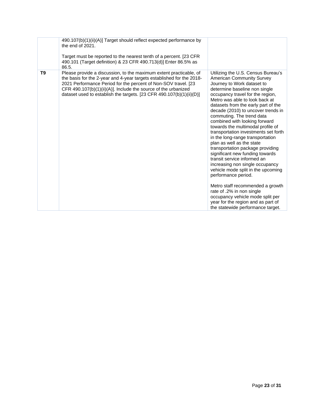|                | 490.107(b)(1)(ii)(A)] Target should reflect expected performance by<br>the end of 2021.<br>Target must be reported to the nearest tenth of a percent. [23 CFR<br>490.101 (Target definition) & 23 CFR 490.713(d)] Enter 86.5% as<br>86.5.                                                                                                               |                                                                                                                                                                                                                                                                                                                                                                                                                                                                                                                                                                                                                                                                                                                                                                                                                                                                                            |
|----------------|---------------------------------------------------------------------------------------------------------------------------------------------------------------------------------------------------------------------------------------------------------------------------------------------------------------------------------------------------------|--------------------------------------------------------------------------------------------------------------------------------------------------------------------------------------------------------------------------------------------------------------------------------------------------------------------------------------------------------------------------------------------------------------------------------------------------------------------------------------------------------------------------------------------------------------------------------------------------------------------------------------------------------------------------------------------------------------------------------------------------------------------------------------------------------------------------------------------------------------------------------------------|
| T <sub>9</sub> | Please provide a discussion, to the maximum extent practicable, of<br>the basis for the 2-year and 4-year targets established for the 2018-<br>2021 Performance Period for the percent of Non-SOV travel. [23<br>CFR 490.107(b)(1)(ii)(A)]. Include the source of the urbanized<br>dataset used to establish the targets. [23 CFR 490.107(b)(1)(ii)(D)] | Utilizing the U.S. Census Bureau's<br><b>American Community Survey</b><br>Journey to Work dataset to<br>determine baseline non single<br>occupancy travel for the region,<br>Metro was able to look back at<br>datasets from the early part of the<br>decade (2010) to uncover trends in<br>commuting. The trend data<br>combined with looking forward<br>towards the multimodal profile of<br>transportation investments set forth<br>in the long-range transportation<br>plan as well as the state<br>transportation package providing<br>significant new funding towards<br>transit service informed an<br>increasing non single occupancy<br>vehicle mode split in the upcoming<br>performance period.<br>Metro staff recommended a growth<br>rate of .2% in non single<br>occupancy vehicle mode split per<br>year for the region and as part of<br>the statewide performance target. |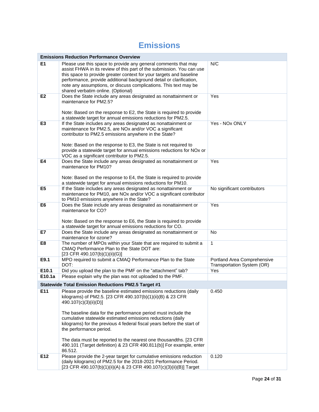#### **Emissions**

| <b>Emissions Reduction Performance Overview</b> |                                                                                                                                                                                                                                                                                                                                                                                                                                                                    |                                                           |  |
|-------------------------------------------------|--------------------------------------------------------------------------------------------------------------------------------------------------------------------------------------------------------------------------------------------------------------------------------------------------------------------------------------------------------------------------------------------------------------------------------------------------------------------|-----------------------------------------------------------|--|
| E1                                              | Please use this space to provide any general comments that may<br>assist FHWA in its review of this part of the submission. You can use<br>this space to provide greater context for your targets and baseline<br>performance, provide additional background detail or clarification,<br>note any assumptions, or discuss complications. This text may be<br>shared verbatim online. (Optional)                                                                    | N/C                                                       |  |
| E <sub>2</sub>                                  | Does the State include any areas designated as nonattainment or<br>maintenance for PM2.5?<br>Note: Based on the response to E2, the State is required to provide<br>a statewide target for annual emissions reductions for PM2.5.                                                                                                                                                                                                                                  | Yes                                                       |  |
| E <sub>3</sub>                                  | If the State includes any areas designated as nonattainment or<br>maintenance for PM2.5, are NOx and/or VOC a significant<br>contributor to PM2.5 emissions anywhere in the State?<br>Note: Based on the response to E3, the State is not required to<br>provide a statewide target for annual emissions reductions for NOx or<br>VOC as a significant contributor to PM2.5.                                                                                       | Yes - NOx ONLY                                            |  |
| E4                                              | Does the State include any areas designated as nonattainment or<br>maintenance for PM10?<br>Note: Based on the response to E4, the State is required to provide<br>a statewide target for annual emissions reductions for PM10.                                                                                                                                                                                                                                    | Yes                                                       |  |
| E <sub>5</sub>                                  | If the State includes any areas designated as nonattainment or<br>maintenance for PM10, are NOx and/or VOC a significant contributor<br>to PM10 emissions anywhere in the State?                                                                                                                                                                                                                                                                                   | No significant contributors                               |  |
| E <sub>6</sub>                                  | Does the State include any areas designated as nonattainment or<br>maintenance for CO?<br>Note: Based on the response to E6, the State is required to provide<br>a statewide target for annual emissions reductions for CO.                                                                                                                                                                                                                                        | Yes                                                       |  |
| E7                                              | Does the State include any areas designated as nonattainment or<br>maintenance for ozone?                                                                                                                                                                                                                                                                                                                                                                          | No                                                        |  |
| E8                                              | The number of MPOs within your State that are required to submit a<br>CMAQ Performance Plan to the State DOT are:<br>[23 CFR 490.107(b)(1)(ii)(G)]                                                                                                                                                                                                                                                                                                                 | $\overline{1}$                                            |  |
| E9.1                                            | MPO required to submit a CMAQ Performance Plan to the State<br>DOT:                                                                                                                                                                                                                                                                                                                                                                                                | Portland Area Comprehensive<br>Transportation System (OR) |  |
| E10.1                                           | Did you upload the plan to the PMF on the "attachment" tab?                                                                                                                                                                                                                                                                                                                                                                                                        | Yes                                                       |  |
| E10.1a                                          | Please explain why the plan was not uploaded to the PMF.                                                                                                                                                                                                                                                                                                                                                                                                           |                                                           |  |
|                                                 | <b>Statewide Total Emission Reductions PM2.5 Target #1</b>                                                                                                                                                                                                                                                                                                                                                                                                         |                                                           |  |
| E11                                             | Please provide the baseline estimated emissions reductions (daily<br>kilograms) of PM2.5. [23 CFR 490.107(b)(1)(ii)(B) & 23 CFR<br>490.107(c)(3)(ii)(D)]<br>The baseline data for the performance period must include the<br>cumulative statewide estimated emissions reductions (daily<br>kilograms) for the previous 4 federal fiscal years before the start of<br>the performance period.<br>The data must be reported to the nearest one thousandths. [23 CFR] | 0.450                                                     |  |
|                                                 | 490.101 (Target definition) & 23 CFR 490.811(b)] For example, enter<br>86.512.                                                                                                                                                                                                                                                                                                                                                                                     |                                                           |  |
| E12                                             | Please provide the 2-year target for cumulative emissions reduction<br>(daily kilograms) of PM2.5 for the 2018-2021 Performance Period.<br>[23 CFR 490.107(b)(1)(ii)(A) & 23 CFR 490.107(c)(3)(ii)(B)] Target                                                                                                                                                                                                                                                      | 0.120                                                     |  |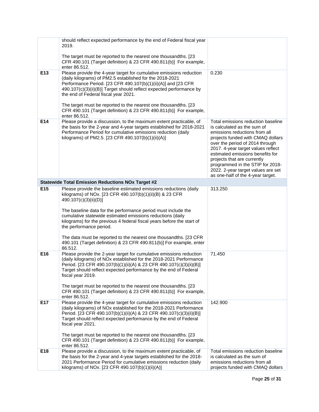|     | should reflect expected performance by the end of Federal fiscal year<br>2019.                                                                                                                                                                                                                                                                                                                                                                                                                                                                     |                                                                                                                                                                                                                                                                                                                                                                                                    |
|-----|----------------------------------------------------------------------------------------------------------------------------------------------------------------------------------------------------------------------------------------------------------------------------------------------------------------------------------------------------------------------------------------------------------------------------------------------------------------------------------------------------------------------------------------------------|----------------------------------------------------------------------------------------------------------------------------------------------------------------------------------------------------------------------------------------------------------------------------------------------------------------------------------------------------------------------------------------------------|
|     | The target must be reported to the nearest one thousandths. [23]<br>CFR 490.101 (Target definition) & 23 CFR 490.811(b)] For example,<br>enter 86.512.                                                                                                                                                                                                                                                                                                                                                                                             |                                                                                                                                                                                                                                                                                                                                                                                                    |
| E13 | Please provide the 4-year target for cumulative emissions reduction<br>(daily kilograms) of PM2.5 established for the 2018-2021<br>Performance Period. [23 CFR 490.107(b)(1)(ii)(A)] and [23 CFR<br>490.107(c)(3)(ii)(B)] Target should reflect expected performance by<br>the end of Federal fiscal year 2021.<br>The target must be reported to the nearest one thousandths. [23]<br>CFR 490.101 (Target definition) & 23 CFR 490.811(b)] For example,                                                                                           | 0.230                                                                                                                                                                                                                                                                                                                                                                                              |
| E14 | enter 86.512.<br>Please provide a discussion, to the maximum extent practicable, of<br>the basis for the 2-year and 4-year targets established for 2018-2021<br>Performance Period for cumulative emissions reduction (daily<br>kilograms) of PM2.5. [23 CFR 490.107(b)(1)(ii)(A)]                                                                                                                                                                                                                                                                 | Total emissions reduction baseline<br>is calculated as the sum of<br>emissions reductions from all<br>projects funded with CMAQ dollars<br>over the period of 2014 through<br>2017. 4-year target values reflect<br>estimated emissions benefits for<br>projects that are currently<br>programmed in the STIP for 2018-<br>2022. 2-year target values are set<br>as one-half of the 4-year target. |
|     | <b>Statewide Total Emission Reductions NOx Target #2</b>                                                                                                                                                                                                                                                                                                                                                                                                                                                                                           |                                                                                                                                                                                                                                                                                                                                                                                                    |
| E15 | Please provide the baseline estimated emissions reductions (daily<br>kilograms) of NOx. [23 CFR 490.107(b)(1)(ii)(B) & 23 CFR<br>490.107(c)(3)(ii)(D)]<br>The baseline data for the performance period must include the<br>cumulative statewide estimated emissions reductions (daily<br>kilograms) for the previous 4 federal fiscal years before the start of<br>the performance period.<br>The data must be reported to the nearest one thousandths. [23 CFR]<br>490.101 (Target definition) & 23 CFR 490.811(b)] For example, enter<br>86.512. | 313.250                                                                                                                                                                                                                                                                                                                                                                                            |
| E16 | Please provide the 2-year target for cumulative emissions reduction<br>(daily kilograms) of NOx established for the 2018-2021 Performance<br>Period. [23 CFR 490.107(b)(1)(ii)(A) & 23 CFR 490.107(c)(3)(ii)(B)]<br>Target should reflect expected performance by the end of Federal<br>fiscal year 2019.<br>The target must be reported to the nearest one thousandths. [23<br>CFR 490.101 (Target definition) & 23 CFR 490.811(b)] For example,<br>enter 86.512.                                                                                 | 71.450                                                                                                                                                                                                                                                                                                                                                                                             |
| E17 | Please provide the 4-year target for cumulative emissions reduction<br>(daily kilograms) of NOx established for the 2018-2021 Performance<br>Period. [23 CFR 490.107(b)(1)(ii)(A) & 23 CFR 490.107(c)(3)(ii)(B)]<br>Target should reflect expected performance by the end of Federal<br>fiscal year 2021.<br>The target must be reported to the nearest one thousandths. [23<br>CFR 490.101 (Target definition) & 23 CFR 490.811(b)] For example,<br>enter 86.512.                                                                                 | 142.900                                                                                                                                                                                                                                                                                                                                                                                            |
| E18 | Please provide a discussion, to the maximum extent practicable, of<br>the basis for the 2-year and 4-year targets established for the 2018-<br>2021 Performance Period for cumulative emissions reduction (daily<br>kilograms) of NOx. [23 CFR 490.107(b)(1)(ii)(A)]                                                                                                                                                                                                                                                                               | Total emissions reduction baseline<br>is calculated as the sum of<br>emissions reductions from all<br>projects funded with CMAQ dollars                                                                                                                                                                                                                                                            |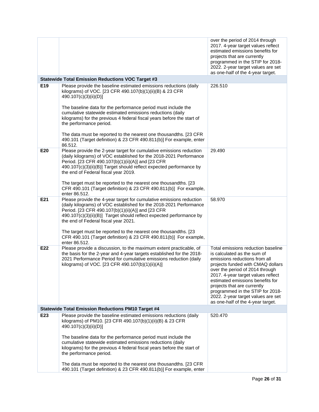|                 |                                                                                                                                                                                                                                                                                                                                                                                                                                                                                                                                                   | over the period of 2014 through<br>2017. 4-year target values reflect<br>estimated emissions benefits for<br>projects that are currently<br>programmed in the STIP for 2018-<br>2022. 2-year target values are set<br>as one-half of the 4-year target.                                                                                                                                            |
|-----------------|---------------------------------------------------------------------------------------------------------------------------------------------------------------------------------------------------------------------------------------------------------------------------------------------------------------------------------------------------------------------------------------------------------------------------------------------------------------------------------------------------------------------------------------------------|----------------------------------------------------------------------------------------------------------------------------------------------------------------------------------------------------------------------------------------------------------------------------------------------------------------------------------------------------------------------------------------------------|
|                 | <b>Statewide Total Emission Reductions VOC Target #3</b>                                                                                                                                                                                                                                                                                                                                                                                                                                                                                          |                                                                                                                                                                                                                                                                                                                                                                                                    |
| E <sub>19</sub> | Please provide the baseline estimated emissions reductions (daily<br>kilograms) of VOC. [23 CFR 490.107(b)(1)(ii)(B) & 23 CFR<br>490.107(c)(3)(ii)(D)]<br>The baseline data for the performance period must include the<br>cumulative statewide estimated emissions reductions (daily<br>kilograms) for the previous 4 federal fiscal years before the start of<br>the performance period.<br>The data must be reported to the nearest one thousandths. [23 CFR<br>490.101 (Target definition) & 23 CFR 490.811(b)] For example, enter<br>86.512. | 226.510                                                                                                                                                                                                                                                                                                                                                                                            |
| E20             | Please provide the 2-year target for cumulative emissions reduction<br>(daily kilograms) of VOC established for the 2018-2021 Performance<br>Period. [23 CFR 490.107(b)(1)(ii)(A)] and [23 CFR<br>490.107(c)(3)(ii)(B)] Target should reflect expected performance by<br>the end of Federal fiscal year 2019.<br>The target must be reported to the nearest one thousandths. [23<br>CFR 490.101 (Target definition) & 23 CFR 490.811(b)] For example,<br>enter 86.512.                                                                            | 29.490                                                                                                                                                                                                                                                                                                                                                                                             |
| E21             | Please provide the 4-year target for cumulative emissions reduction<br>(daily kilograms) of VOC established for the 2018-2021 Performance<br>Period. [23 CFR 490.107(b)(1)(ii)(A)] and [23 CFR<br>490.107(c)(3)(ii)(B)] Target should reflect expected performance by<br>the end of Federal fiscal year 2021.<br>The target must be reported to the nearest one thousandths. [23]<br>CFR 490.101 (Target definition) & 23 CFR 490.811(b)] For example,<br>enter 86.512.                                                                           | 58.970                                                                                                                                                                                                                                                                                                                                                                                             |
| E22             | Please provide a discussion, to the maximum extent practicable, of<br>the basis for the 2-year and 4-year targets established for the 2018-<br>2021 Performance Period for cumulative emissions reduction (daily<br>kilograms) of VOC. [23 CFR 490.107(b)(1)(ii)(A)]                                                                                                                                                                                                                                                                              | Total emissions reduction baseline<br>is calculated as the sum of<br>emissions reductions from all<br>projects funded with CMAQ dollars<br>over the period of 2014 through<br>2017. 4-year target values reflect<br>estimated emissions benefits for<br>projects that are currently<br>programmed in the STIP for 2018-<br>2022. 2-year target values are set<br>as one-half of the 4-year target. |
|                 | <b>Statewide Total Emission Reductions PM10 Target #4</b>                                                                                                                                                                                                                                                                                                                                                                                                                                                                                         |                                                                                                                                                                                                                                                                                                                                                                                                    |
| E23             | Please provide the baseline estimated emissions reductions (daily<br>kilograms) of PM10. [23 CFR 490.107(b)(1)(ii)(B) & 23 CFR<br>490.107(c)(3)(ii)(D)]<br>The baseline data for the performance period must include the<br>cumulative statewide estimated emissions reductions (daily<br>kilograms) for the previous 4 federal fiscal years before the start of<br>the performance period.                                                                                                                                                       | 520.470                                                                                                                                                                                                                                                                                                                                                                                            |
|                 | The data must be reported to the nearest one thousandths. [23 CFR<br>490.101 (Target definition) & 23 CFR 490.811(b)] For example, enter                                                                                                                                                                                                                                                                                                                                                                                                          |                                                                                                                                                                                                                                                                                                                                                                                                    |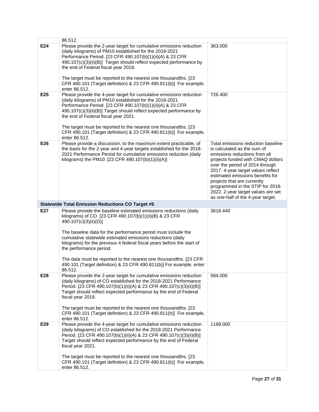|     | 86.512.                                                                                                                                                                                                                                                                                                                                                                       |                                                                                                                                                                                                                                                                                                                                                                                                    |  |  |
|-----|-------------------------------------------------------------------------------------------------------------------------------------------------------------------------------------------------------------------------------------------------------------------------------------------------------------------------------------------------------------------------------|----------------------------------------------------------------------------------------------------------------------------------------------------------------------------------------------------------------------------------------------------------------------------------------------------------------------------------------------------------------------------------------------------|--|--|
| E24 | Please provide the 2-year target for cumulative emissions reduction<br>(daily kilograms) of PM10 established for the 2018-2021<br>Performance Period. [23 CFR 490.107(b)(1)(ii)(A) & 23 CFR<br>490.107(c)(3)(ii)(B)] Target should reflect expected performance by<br>the end of Federal fiscal year 2019.<br>The target must be reported to the nearest one thousandths. [23 | 363.000                                                                                                                                                                                                                                                                                                                                                                                            |  |  |
|     | CFR 490.101 (Target definition) & 23 CFR 490.811(b)] For example,<br>enter 86.512.                                                                                                                                                                                                                                                                                            |                                                                                                                                                                                                                                                                                                                                                                                                    |  |  |
| E25 | Please provide the 4-year target for cumulative emissions reduction<br>(daily kilograms) of PM10 established for the 2018-2021<br>Performance Period. [23 CFR 490.107(b)(1)(ii)(A) & 23 CFR<br>490.107(c)(3)(ii)(B)] Target should reflect expected performance by<br>the end of Federal fiscal year 2021.<br>The target must be reported to the nearest one thousandths. [23 | 726.400                                                                                                                                                                                                                                                                                                                                                                                            |  |  |
|     | CFR 490.101 (Target definition) & 23 CFR 490.811(b)] For example,<br>enter 86.512.                                                                                                                                                                                                                                                                                            |                                                                                                                                                                                                                                                                                                                                                                                                    |  |  |
| E26 | Please provide a discussion, to the maximum extent practicable, of<br>the basis for the 2-year and 4-year targets established for the 2018-<br>2021 Performance Period for cumulative emissions reduction (daily<br>kilograms) the PM10. [23 CFR 490.107(b)(1)(ii)(A)]                                                                                                        | Total emissions reduction baseline<br>is calculated as the sum of<br>emissions reductions from all<br>projects funded with CMAQ dollars<br>over the period of 2014 through<br>2017. 4-year target values reflect<br>estimated emissions benefits for<br>projects that are currently<br>programmed in the STIP for 2018-<br>2022. 2-year target values are set<br>as one-half of the 4-year target. |  |  |
|     | <b>Statewide Total Emission Reductions CO Target #5</b>                                                                                                                                                                                                                                                                                                                       |                                                                                                                                                                                                                                                                                                                                                                                                    |  |  |
| E27 | Please provide the baseline estimated emissions reductions (daily<br>kilograms) of CO. [23 CFR 490.107(b)(1)(ii)(B) & 23 CFR                                                                                                                                                                                                                                                  | 3618.440                                                                                                                                                                                                                                                                                                                                                                                           |  |  |
|     | 490.107(c)(3)(ii)(D)]                                                                                                                                                                                                                                                                                                                                                         |                                                                                                                                                                                                                                                                                                                                                                                                    |  |  |
|     | The baseline data for the performance period must include the<br>cumulative statewide estimated emissions reductions (daily<br>kilograms) for the previous 4 federal fiscal years before the start of<br>the performance period.                                                                                                                                              |                                                                                                                                                                                                                                                                                                                                                                                                    |  |  |
|     | The data must be reported to the nearest one thousandths. [23 CFR]<br>490.101 (Target definition) & 23 CFR 490.811(b)] For example, enter<br>86.512.                                                                                                                                                                                                                          |                                                                                                                                                                                                                                                                                                                                                                                                    |  |  |
| E28 | Please provide the 2-year target for cumulative emissions reduction<br>(daily kilograms) of CO established for the 2018-2021 Performance<br>Period. [23 CFR 490.107(b)(1)(ii)(A) & 23 CFR 490.107(c)(3)(ii)(B)]<br>Target should reflect expected performance by the end of Federal<br>fiscal year 2019.<br>The target must be reported to the nearest one thousandths. [23   | 584.000                                                                                                                                                                                                                                                                                                                                                                                            |  |  |
|     | CFR 490.101 (Target definition) & 23 CFR 490.811(b)] For example,<br>enter 86.512.                                                                                                                                                                                                                                                                                            |                                                                                                                                                                                                                                                                                                                                                                                                    |  |  |
| E29 | Please provide the 4-year target for cumulative emissions reduction<br>(daily kilograms) of CO established for the 2018-2021 Performance<br>Period. [23 CFR 490.107(b)(1)(ii)(A) & 23 CFR 490.107(c)(3)(ii)(B)]<br>Target should reflect expected performance by the end of Federal<br>fiscal year 2021.<br>The target must be reported to the nearest one thousandths. [23   | 1168.000                                                                                                                                                                                                                                                                                                                                                                                           |  |  |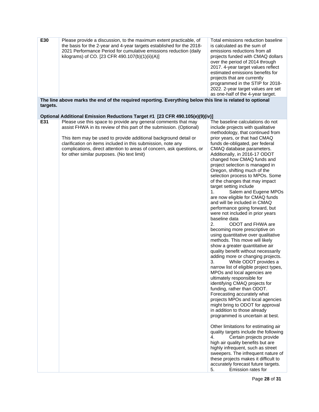| The line above marks the end of the required reporting. Everything below this line is related to optional<br>targets.<br>Optional Additional Emission Reductions Target #1 [23 CFR 490.105(e)(9)(iv)]<br>E31<br>Please use this space to provide any general comments that may<br>The baseline calculations do not<br>assist FHWA in its review of this part of the submission. (Optional)<br>include projects with qualitative<br>methodology, that continued from<br>prior years, or that had CMAQ<br>This item may be used to provide additional background detail or<br>clarification on items included in this submission, note any<br>funds de-obligated, per federal<br>complications, direct attention to areas of concern, ask questions, or<br>CMAQ database parameters.<br>for other similar purposes. (No text limit)<br>Additionally, in 2016-17 ODOT<br>changed how CMAQ funds and<br>project selection is managed in<br>Oregon, shifting much of the<br>selection process to MPOs. Some<br>of the changes that may impact<br>target setting include<br>1.<br>Salem and Eugene MPOs<br>are now eligible for CMAQ funds<br>and will be included in CMAQ<br>performance going forward, but<br>were not included in prior years<br>baseline data<br>ODOT and FHWA are<br>2.<br>becoming more prescriptive on<br>using quantitative over qualitative<br>methods. This move will likely<br>show a greater quantitative air<br>quality benefit without necessarily<br>adding more or changing projects.<br>While ODOT provides a<br>3.<br>narrow list of eligible project types,<br>MPOs and local agencies are<br>ultimately responsible for<br>identifying CMAQ projects for<br>funding, rather than ODOT.<br>Forecasting accurately what<br>projects MPOs and local agencies<br>might bring to ODOT for approval<br>in addition to those already<br>programmed is uncertain at best.<br>Other limitations for estimating air<br>quality targets include the following<br>4.<br>Certain projects provide<br>high air quality benefits but are<br>highly infrequent, such as street<br>sweepers. The infrequent nature of<br>these projects makes it difficult to<br>accurately forecast future targets.<br>5.<br>Emission rates for | E30 | Please provide a discussion, to the maximum extent practicable, of<br>the basis for the 2-year and 4-year targets established for the 2018-<br>2021 Performance Period for cumulative emissions reduction (daily<br>kilograms) of CO. [23 CFR 490.107(b)(1)(ii)(A)] | Total emissions reduction baseline<br>is calculated as the sum of<br>emissions reductions from all<br>projects funded with CMAQ dollars<br>over the period of 2014 through<br>2017. 4-year target values reflect<br>estimated emissions benefits for<br>projects that are currently<br>programmed in the STIP for 2018-<br>2022. 2-year target values are set<br>as one-half of the 4-year target. |
|-----------------------------------------------------------------------------------------------------------------------------------------------------------------------------------------------------------------------------------------------------------------------------------------------------------------------------------------------------------------------------------------------------------------------------------------------------------------------------------------------------------------------------------------------------------------------------------------------------------------------------------------------------------------------------------------------------------------------------------------------------------------------------------------------------------------------------------------------------------------------------------------------------------------------------------------------------------------------------------------------------------------------------------------------------------------------------------------------------------------------------------------------------------------------------------------------------------------------------------------------------------------------------------------------------------------------------------------------------------------------------------------------------------------------------------------------------------------------------------------------------------------------------------------------------------------------------------------------------------------------------------------------------------------------------------------------------------------------------------------------------------------------------------------------------------------------------------------------------------------------------------------------------------------------------------------------------------------------------------------------------------------------------------------------------------------------------------------------------------------------------------------------------------------------------------------------------------------------------------------------|-----|---------------------------------------------------------------------------------------------------------------------------------------------------------------------------------------------------------------------------------------------------------------------|----------------------------------------------------------------------------------------------------------------------------------------------------------------------------------------------------------------------------------------------------------------------------------------------------------------------------------------------------------------------------------------------------|
|                                                                                                                                                                                                                                                                                                                                                                                                                                                                                                                                                                                                                                                                                                                                                                                                                                                                                                                                                                                                                                                                                                                                                                                                                                                                                                                                                                                                                                                                                                                                                                                                                                                                                                                                                                                                                                                                                                                                                                                                                                                                                                                                                                                                                                               |     |                                                                                                                                                                                                                                                                     |                                                                                                                                                                                                                                                                                                                                                                                                    |
|                                                                                                                                                                                                                                                                                                                                                                                                                                                                                                                                                                                                                                                                                                                                                                                                                                                                                                                                                                                                                                                                                                                                                                                                                                                                                                                                                                                                                                                                                                                                                                                                                                                                                                                                                                                                                                                                                                                                                                                                                                                                                                                                                                                                                                               |     |                                                                                                                                                                                                                                                                     |                                                                                                                                                                                                                                                                                                                                                                                                    |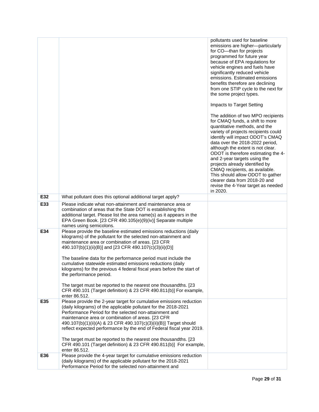|     |                                                                                                                                                                                                                                                                                                                                                                                                                                                                                                                                                                                                                                                   | pollutants used for baseline<br>emissions are higher-particularly<br>for CO-than for projects<br>programmed for future year<br>because of EPA regulations for<br>vehicle engines and fuels have<br>significantly reduced vehicle<br>emissions. Estimated emissions<br>benefits therefore are declining<br>from one STIP cycle to the next for<br>the some project types.<br>Impacts to Target Setting<br>The addition of two MPO recipients<br>for CMAQ funds, a shift to more<br>quantitative methods, and the<br>variety of projects recipients could<br>identify will impact ODOT's CMAQ<br>data over the 2018-2022 period,<br>although the extent is not clear.<br>ODOT is therefore estimating the 4-<br>and 2-year targets using the<br>projects already identified by<br>CMAQ recipients, as available.<br>This should allow ODOT to gather<br>clearer data from 2018-20 and<br>revise the 4-Year target as needed<br>in 2020. |
|-----|---------------------------------------------------------------------------------------------------------------------------------------------------------------------------------------------------------------------------------------------------------------------------------------------------------------------------------------------------------------------------------------------------------------------------------------------------------------------------------------------------------------------------------------------------------------------------------------------------------------------------------------------------|---------------------------------------------------------------------------------------------------------------------------------------------------------------------------------------------------------------------------------------------------------------------------------------------------------------------------------------------------------------------------------------------------------------------------------------------------------------------------------------------------------------------------------------------------------------------------------------------------------------------------------------------------------------------------------------------------------------------------------------------------------------------------------------------------------------------------------------------------------------------------------------------------------------------------------------|
| E32 | What pollutant does this optional additional target apply?                                                                                                                                                                                                                                                                                                                                                                                                                                                                                                                                                                                        |                                                                                                                                                                                                                                                                                                                                                                                                                                                                                                                                                                                                                                                                                                                                                                                                                                                                                                                                       |
| E33 | Please indicate what non-attainment and maintenance area or<br>combination of areas that the State DOT is establishing this<br>additional target. Please list the area name(s) as it appears in the<br>EPA Green Book. [23 CFR 490.105(e)(9)(iv)] Separate multiple<br>names using semicolons.                                                                                                                                                                                                                                                                                                                                                    |                                                                                                                                                                                                                                                                                                                                                                                                                                                                                                                                                                                                                                                                                                                                                                                                                                                                                                                                       |
| E34 | Please provide the baseline estimated emissions reductions (daily<br>kilograms) of the pollutant for the selected non-attainment and<br>maintenance area or combination of areas. [23 CFR<br>490.107(b)(1)(ii)(B)] and [23 CFR 490.107(c)(3)(ii)(D)]<br>The baseline data for the performance period must include the<br>cumulative statewide estimated emissions reductions (daily<br>kilograms) for the previous 4 federal fiscal years before the start of<br>the performance period.<br>The target must be reported to the nearest one thousandths. [23<br>CFR 490.101 (Target definition) & 23 CFR 490.811(b)] For example,<br>enter 86.512. |                                                                                                                                                                                                                                                                                                                                                                                                                                                                                                                                                                                                                                                                                                                                                                                                                                                                                                                                       |
| E35 | Please provide the 2-year target for cumulative emissions reduction<br>(daily kilograms) of the applicable pollutant for the 2018-2021<br>Performance Period for the selected non-attainment and<br>maintenance area or combination of areas. [23 CFR<br>490.107(b)(1)(ii)(A) & 23 CFR 490.107(c)(3)(ii)(B)] Target should<br>reflect expected performance by the end of Federal fiscal year 2019.<br>The target must be reported to the nearest one thousandths. [23<br>CFR 490.101 (Target definition) & 23 CFR 490.811(b)] For example,<br>enter 86.512.                                                                                       |                                                                                                                                                                                                                                                                                                                                                                                                                                                                                                                                                                                                                                                                                                                                                                                                                                                                                                                                       |
| E36 | Please provide the 4-year target for cumulative emissions reduction<br>(daily kilograms) of the applicable pollutant for the 2018-2021<br>Performance Period for the selected non-attainment and                                                                                                                                                                                                                                                                                                                                                                                                                                                  |                                                                                                                                                                                                                                                                                                                                                                                                                                                                                                                                                                                                                                                                                                                                                                                                                                                                                                                                       |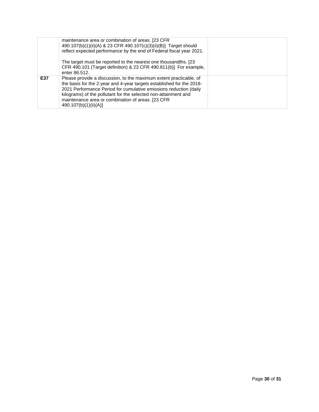|     | maintenance area or combination of areas. [23 CFR]<br>490.107(b)(1)(ii)(A) & 23 CFR 490.107(c)(3)(ii)(B)] Target should<br>reflect expected performance by the end of Federal fiscal year 2021.<br>The target must be reported to the nearest one thousandths. [23]<br>CFR 490.101 (Target definition) & 23 CFR 490.811(b)] For example,<br>enter 86.512.         |  |
|-----|-------------------------------------------------------------------------------------------------------------------------------------------------------------------------------------------------------------------------------------------------------------------------------------------------------------------------------------------------------------------|--|
| E37 | Please provide a discussion, to the maximum extent practicable, of<br>the basis for the 2-year and 4-year targets established for the 2018-<br>2021 Performance Period for cumulative emissions reduction (daily<br>kilograms) of the pollutant for the selected non-attainment and<br>maintenance area or combination of areas. [23 CFR<br>490.107(b)(1)(ii)(A)] |  |